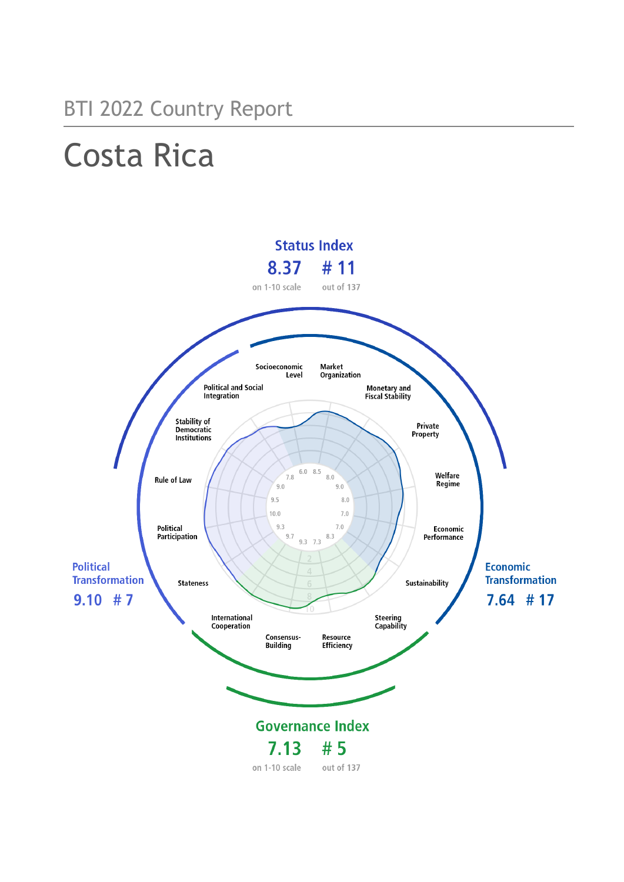# Costa Rica

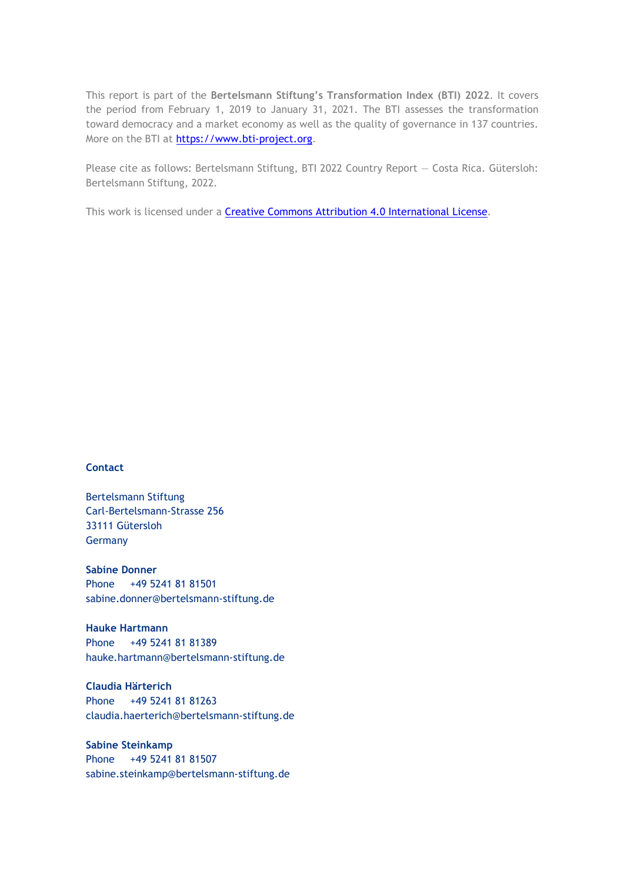This report is part of the **Bertelsmann Stiftung's Transformation Index (BTI) 2022**. It covers the period from February 1, 2019 to January 31, 2021. The BTI assesses the transformation toward democracy and a market economy as well as the quality of governance in 137 countries. More on the BTI at [https://www.bti-project.org.](https://www.bti-project.org/)

Please cite as follows: Bertelsmann Stiftung, BTI 2022 Country Report — Costa Rica. Gütersloh: Bertelsmann Stiftung, 2022.

This work is licensed under a **Creative Commons Attribution 4.0 International License**.

## **Contact**

Bertelsmann Stiftung Carl-Bertelsmann-Strasse 256 33111 Gütersloh Germany

**Sabine Donner** Phone +49 5241 81 81501 sabine.donner@bertelsmann-stiftung.de

**Hauke Hartmann** Phone +49 5241 81 81389 hauke.hartmann@bertelsmann-stiftung.de

**Claudia Härterich** Phone +49 5241 81 81263 claudia.haerterich@bertelsmann-stiftung.de

## **Sabine Steinkamp** Phone +49 5241 81 81507 sabine.steinkamp@bertelsmann-stiftung.de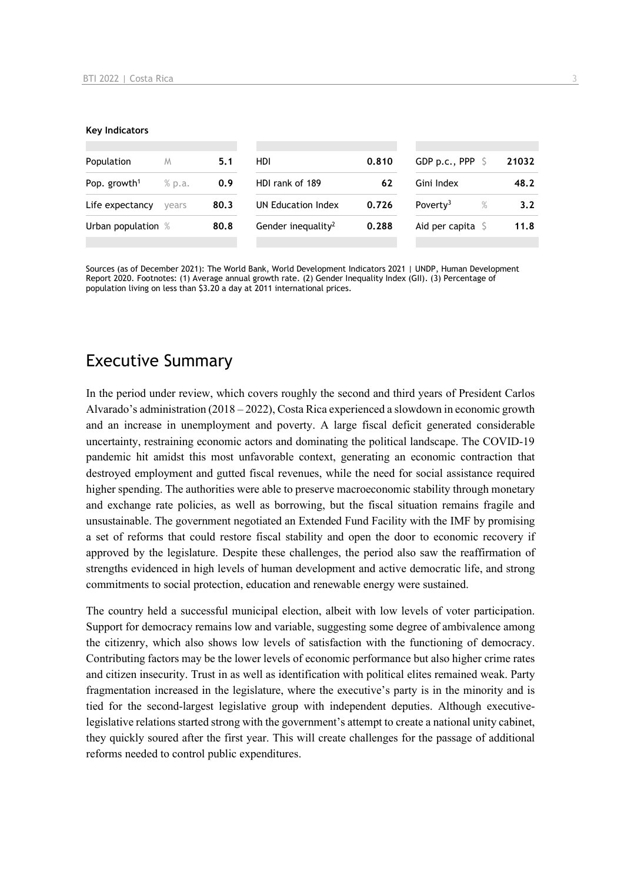#### **Key Indicators**

| Population               | M      | 5.1  | HDI                            | 0.810 | GDP p.c., PPP 9            | 21032            |
|--------------------------|--------|------|--------------------------------|-------|----------------------------|------------------|
| Pop. growth <sup>1</sup> | % p.a. | 0.9  | HDI rank of 189                | 62    | Gini Index                 | 48.2             |
| Life expectancy          | vears  | 80.3 | UN Education Index             | 0.726 | Poverty <sup>3</sup><br>%  | 3.2 <sub>2</sub> |
| Urban population %       |        | 80.8 | Gender inequality <sup>2</sup> | 0.288 | Aid per capita $\mathsf S$ | 11.8             |
|                          |        |      |                                |       |                            |                  |

Sources (as of December 2021): The World Bank, World Development Indicators 2021 | UNDP, Human Development Report 2020. Footnotes: (1) Average annual growth rate. (2) Gender Inequality Index (GII). (3) Percentage of population living on less than \$3.20 a day at 2011 international prices.

# Executive Summary

In the period under review, which covers roughly the second and third years of President Carlos Alvarado's administration  $(2018 - 2022)$ . Costa Rica experienced a slowdown in economic growth and an increase in unemployment and poverty. A large fiscal deficit generated considerable uncertainty, restraining economic actors and dominating the political landscape. The COVID-19 pandemic hit amidst this most unfavorable context, generating an economic contraction that destroyed employment and gutted fiscal revenues, while the need for social assistance required higher spending. The authorities were able to preserve macroeconomic stability through monetary and exchange rate policies, as well as borrowing, but the fiscal situation remains fragile and unsustainable. The government negotiated an Extended Fund Facility with the IMF by promising a set of reforms that could restore fiscal stability and open the door to economic recovery if approved by the legislature. Despite these challenges, the period also saw the reaffirmation of strengths evidenced in high levels of human development and active democratic life, and strong commitments to social protection, education and renewable energy were sustained.

The country held a successful municipal election, albeit with low levels of voter participation. Support for democracy remains low and variable, suggesting some degree of ambivalence among the citizenry, which also shows low levels of satisfaction with the functioning of democracy. Contributing factors may be the lower levels of economic performance but also higher crime rates and citizen insecurity. Trust in as well as identification with political elites remained weak. Party fragmentation increased in the legislature, where the executive's party is in the minority and is tied for the second-largest legislative group with independent deputies. Although executivelegislative relations started strong with the government's attempt to create a national unity cabinet, they quickly soured after the first year. This will create challenges for the passage of additional reforms needed to control public expenditures.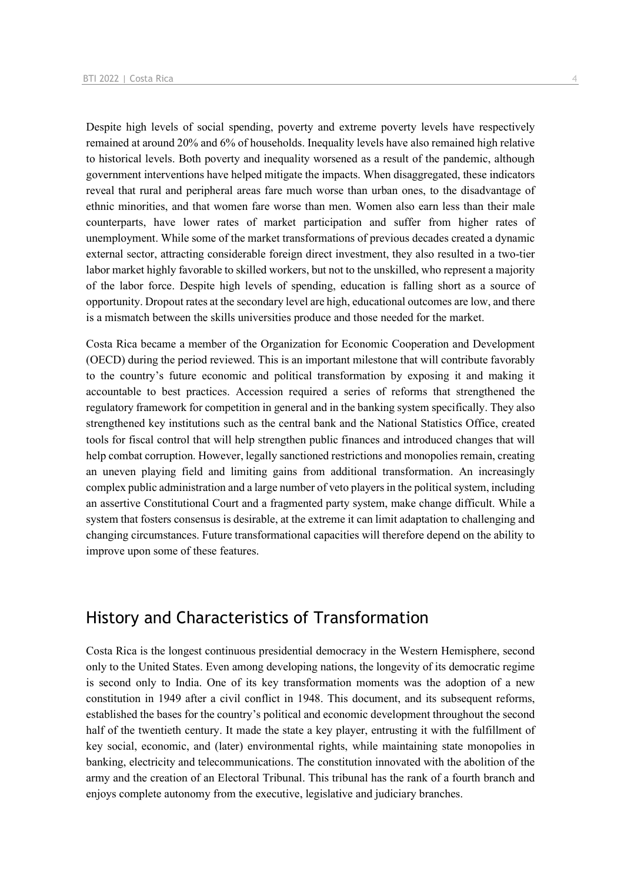Despite high levels of social spending, poverty and extreme poverty levels have respectively remained at around 20% and 6% of households. Inequality levels have also remained high relative to historical levels. Both poverty and inequality worsened as a result of the pandemic, although government interventions have helped mitigate the impacts. When disaggregated, these indicators reveal that rural and peripheral areas fare much worse than urban ones, to the disadvantage of ethnic minorities, and that women fare worse than men. Women also earn less than their male counterparts, have lower rates of market participation and suffer from higher rates of unemployment. While some of the market transformations of previous decades created a dynamic external sector, attracting considerable foreign direct investment, they also resulted in a two-tier labor market highly favorable to skilled workers, but not to the unskilled, who represent a majority of the labor force. Despite high levels of spending, education is falling short as a source of opportunity. Dropout rates at the secondary level are high, educational outcomes are low, and there is a mismatch between the skills universities produce and those needed for the market.

Costa Rica became a member of the Organization for Economic Cooperation and Development (OECD) during the period reviewed. This is an important milestone that will contribute favorably to the country's future economic and political transformation by exposing it and making it accountable to best practices. Accession required a series of reforms that strengthened the regulatory framework for competition in general and in the banking system specifically. They also strengthened key institutions such as the central bank and the National Statistics Office, created tools for fiscal control that will help strengthen public finances and introduced changes that will help combat corruption. However, legally sanctioned restrictions and monopolies remain, creating an uneven playing field and limiting gains from additional transformation. An increasingly complex public administration and a large number of veto players in the political system, including an assertive Constitutional Court and a fragmented party system, make change difficult. While a system that fosters consensus is desirable, at the extreme it can limit adaptation to challenging and changing circumstances. Future transformational capacities will therefore depend on the ability to improve upon some of these features.

# History and Characteristics of Transformation

Costa Rica is the longest continuous presidential democracy in the Western Hemisphere, second only to the United States. Even among developing nations, the longevity of its democratic regime is second only to India. One of its key transformation moments was the adoption of a new constitution in 1949 after a civil conflict in 1948. This document, and its subsequent reforms, established the bases for the country's political and economic development throughout the second half of the twentieth century. It made the state a key player, entrusting it with the fulfillment of key social, economic, and (later) environmental rights, while maintaining state monopolies in banking, electricity and telecommunications. The constitution innovated with the abolition of the army and the creation of an Electoral Tribunal. This tribunal has the rank of a fourth branch and enjoys complete autonomy from the executive, legislative and judiciary branches.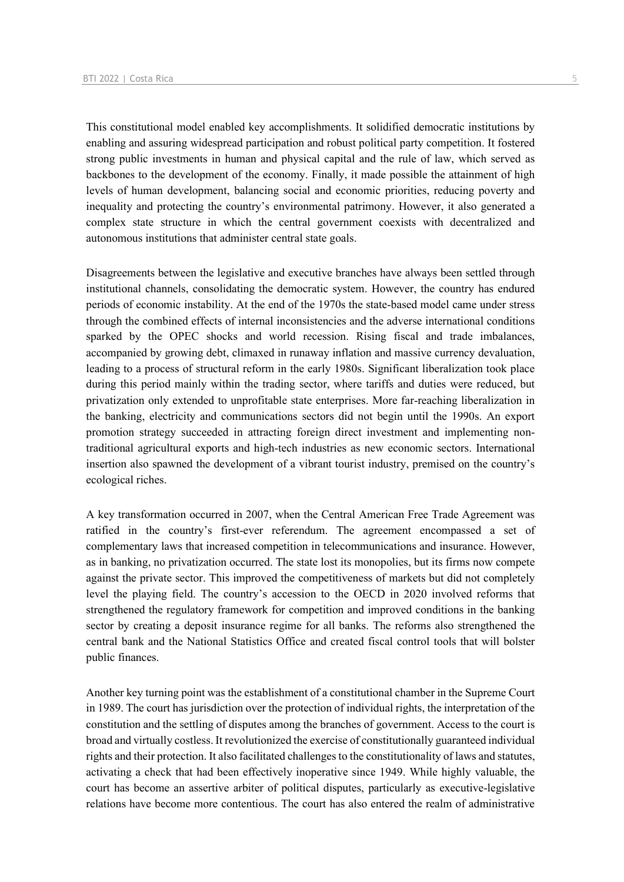This constitutional model enabled key accomplishments. It solidified democratic institutions by enabling and assuring widespread participation and robust political party competition. It fostered strong public investments in human and physical capital and the rule of law, which served as backbones to the development of the economy. Finally, it made possible the attainment of high levels of human development, balancing social and economic priorities, reducing poverty and inequality and protecting the country's environmental patrimony. However, it also generated a complex state structure in which the central government coexists with decentralized and autonomous institutions that administer central state goals.

Disagreements between the legislative and executive branches have always been settled through institutional channels, consolidating the democratic system. However, the country has endured periods of economic instability. At the end of the 1970s the state-based model came under stress through the combined effects of internal inconsistencies and the adverse international conditions sparked by the OPEC shocks and world recession. Rising fiscal and trade imbalances, accompanied by growing debt, climaxed in runaway inflation and massive currency devaluation, leading to a process of structural reform in the early 1980s. Significant liberalization took place during this period mainly within the trading sector, where tariffs and duties were reduced, but privatization only extended to unprofitable state enterprises. More far-reaching liberalization in the banking, electricity and communications sectors did not begin until the 1990s. An export promotion strategy succeeded in attracting foreign direct investment and implementing nontraditional agricultural exports and high-tech industries as new economic sectors. International insertion also spawned the development of a vibrant tourist industry, premised on the country's ecological riches.

A key transformation occurred in 2007, when the Central American Free Trade Agreement was ratified in the country's first-ever referendum. The agreement encompassed a set of complementary laws that increased competition in telecommunications and insurance. However, as in banking, no privatization occurred. The state lost its monopolies, but its firms now compete against the private sector. This improved the competitiveness of markets but did not completely level the playing field. The country's accession to the OECD in 2020 involved reforms that strengthened the regulatory framework for competition and improved conditions in the banking sector by creating a deposit insurance regime for all banks. The reforms also strengthened the central bank and the National Statistics Office and created fiscal control tools that will bolster public finances.

Another key turning point was the establishment of a constitutional chamber in the Supreme Court in 1989. The court has jurisdiction over the protection of individual rights, the interpretation of the constitution and the settling of disputes among the branches of government. Access to the court is broad and virtually costless. It revolutionized the exercise of constitutionally guaranteed individual rights and their protection. It also facilitated challenges to the constitutionality of laws and statutes, activating a check that had been effectively inoperative since 1949. While highly valuable, the court has become an assertive arbiter of political disputes, particularly as executive-legislative relations have become more contentious. The court has also entered the realm of administrative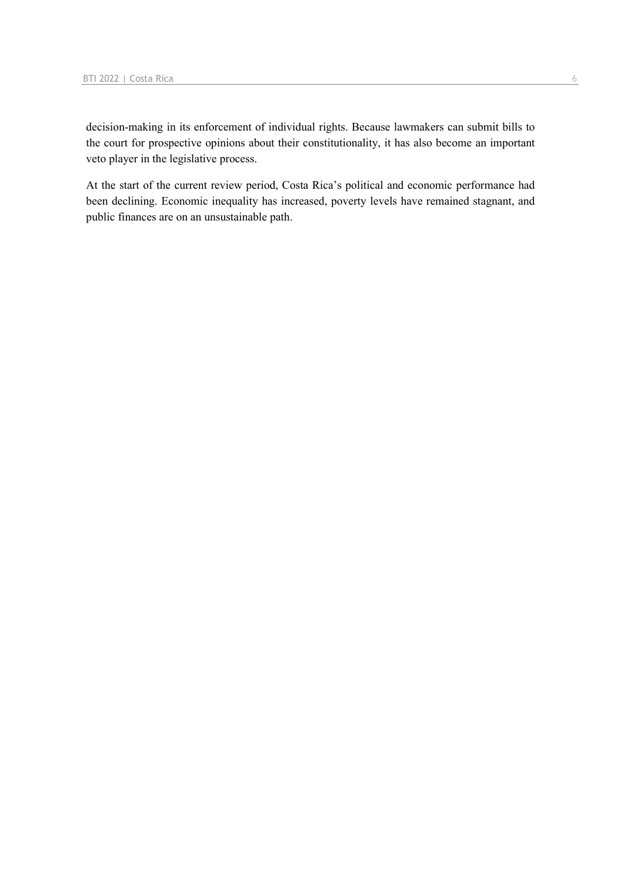decision-making in its enforcement of individual rights. Because lawmakers can submit bills to the court for prospective opinions about their constitutionality, it has also become an important veto player in the legislative process.

At the start of the current review period, Costa Rica's political and economic performance had been declining. Economic inequality has increased, poverty levels have remained stagnant, and public finances are on an unsustainable path.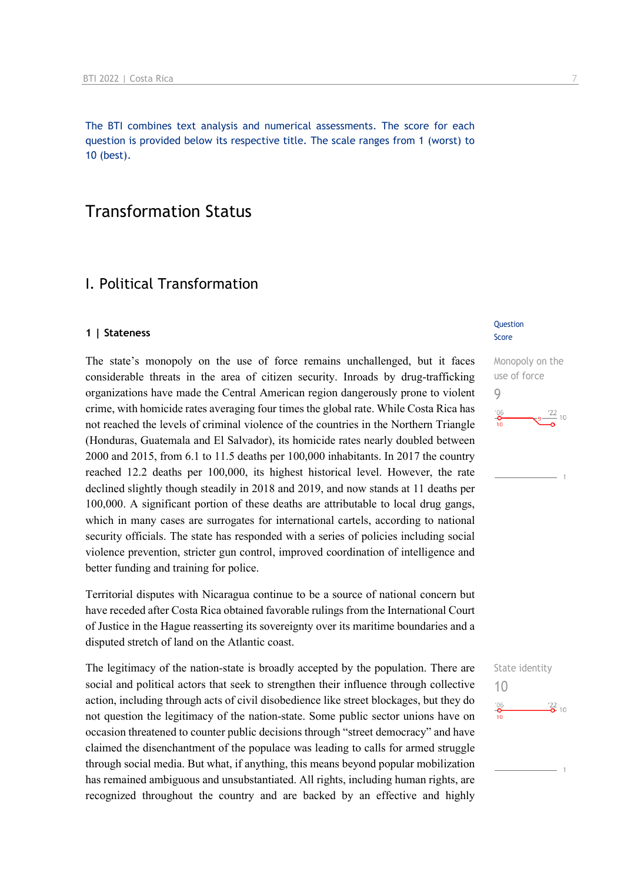The BTI combines text analysis and numerical assessments. The score for each question is provided below its respective title. The scale ranges from 1 (worst) to 10 (best).

# Transformation Status

# I. Political Transformation

#### **1 | Stateness**

The state's monopoly on the use of force remains unchallenged, but it faces considerable threats in the area of citizen security. Inroads by drug-trafficking organizations have made the Central American region dangerously prone to violent crime, with homicide rates averaging four times the global rate. While Costa Rica has not reached the levels of criminal violence of the countries in the Northern Triangle (Honduras, Guatemala and El Salvador), its homicide rates nearly doubled between 2000 and 2015, from 6.1 to 11.5 deaths per 100,000 inhabitants. In 2017 the country reached 12.2 deaths per 100,000, its highest historical level. However, the rate declined slightly though steadily in 2018 and 2019, and now stands at 11 deaths per 100,000. A significant portion of these deaths are attributable to local drug gangs, which in many cases are surrogates for international cartels, according to national security officials. The state has responded with a series of policies including social violence prevention, stricter gun control, improved coordination of intelligence and better funding and training for police.

Territorial disputes with Nicaragua continue to be a source of national concern but have receded after Costa Rica obtained favorable rulings from the International Court of Justice in the Hague reasserting its sovereignty over its maritime boundaries and a disputed stretch of land on the Atlantic coast.

The legitimacy of the nation-state is broadly accepted by the population. There are social and political actors that seek to strengthen their influence through collective action, including through acts of civil disobedience like street blockages, but they do not question the legitimacy of the nation-state. Some public sector unions have on occasion threatened to counter public decisions through "street democracy" and have claimed the disenchantment of the populace was leading to calls for armed struggle through social media. But what, if anything, this means beyond popular mobilization has remained ambiguous and unsubstantiated. All rights, including human rights, are recognized throughout the country and are backed by an effective and highly

## **Question** Score

Monopoly on the use of force 9  $\frac{22}{10}$  10  $\frac{106}{\mathbf{0}}$ 

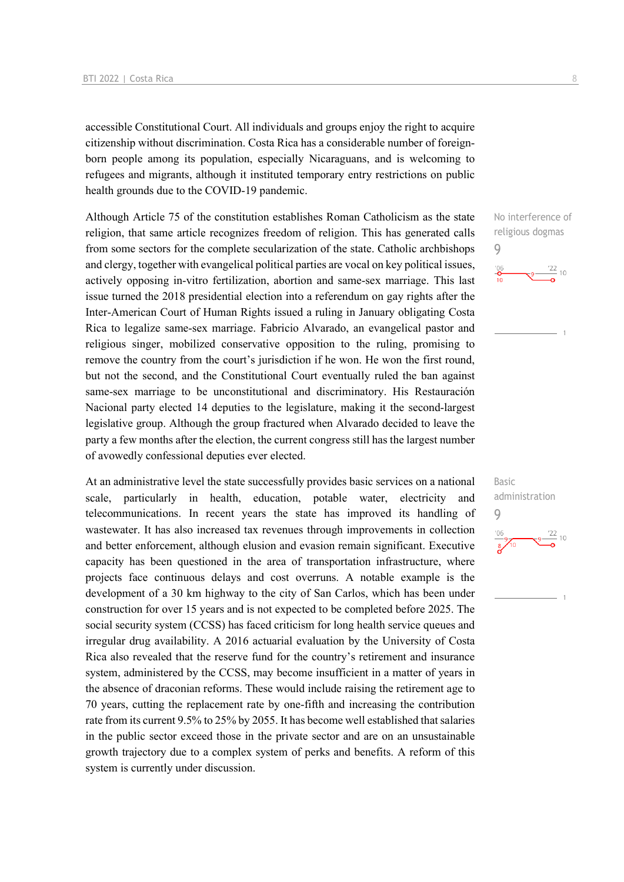accessible Constitutional Court. All individuals and groups enjoy the right to acquire citizenship without discrimination. Costa Rica has a considerable number of foreignborn people among its population, especially Nicaraguans, and is welcoming to refugees and migrants, although it instituted temporary entry restrictions on public health grounds due to the COVID-19 pandemic.

Although Article 75 of the constitution establishes Roman Catholicism as the state religion, that same article recognizes freedom of religion. This has generated calls from some sectors for the complete secularization of the state. Catholic archbishops and clergy, together with evangelical political parties are vocal on key political issues, actively opposing in-vitro fertilization, abortion and same-sex marriage. This last issue turned the 2018 presidential election into a referendum on gay rights after the Inter-American Court of Human Rights issued a ruling in January obligating Costa Rica to legalize same-sex marriage. Fabricio Alvarado, an evangelical pastor and religious singer, mobilized conservative opposition to the ruling, promising to remove the country from the court's jurisdiction if he won. He won the first round, but not the second, and the Constitutional Court eventually ruled the ban against same-sex marriage to be unconstitutional and discriminatory. His Restauración Nacional party elected 14 deputies to the legislature, making it the second-largest legislative group. Although the group fractured when Alvarado decided to leave the party a few months after the election, the current congress still has the largest number of avowedly confessional deputies ever elected.

At an administrative level the state successfully provides basic services on a national scale, particularly in health, education, potable water, electricity and telecommunications. In recent years the state has improved its handling of wastewater. It has also increased tax revenues through improvements in collection and better enforcement, although elusion and evasion remain significant. Executive capacity has been questioned in the area of transportation infrastructure, where projects face continuous delays and cost overruns. A notable example is the development of a 30 km highway to the city of San Carlos, which has been under construction for over 15 years and is not expected to be completed before 2025. The social security system (CCSS) has faced criticism for long health service queues and irregular drug availability. A 2016 actuarial evaluation by the University of Costa Rica also revealed that the reserve fund for the country's retirement and insurance system, administered by the CCSS, may become insufficient in a matter of years in the absence of draconian reforms. These would include raising the retirement age to 70 years, cutting the replacement rate by one-fifth and increasing the contribution rate from its current 9.5% to 25% by 2055. It has become well established that salaries in the public sector exceed those in the private sector and are on an unsustainable growth trajectory due to a complex system of perks and benefits. A reform of this system is currently under discussion.

No interference of religious dogmas 9  $\frac{22}{10}$  $^{206}$ 

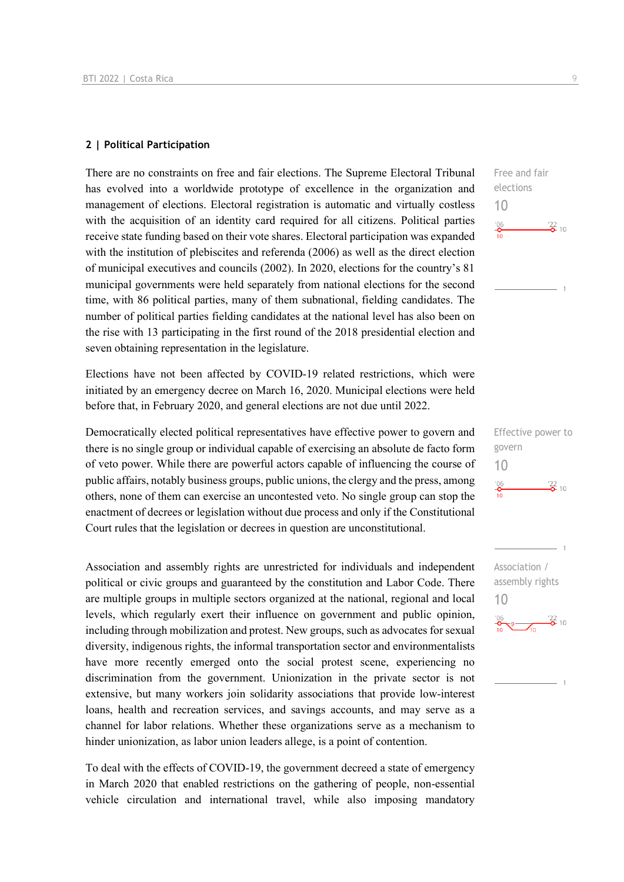## **2 | Political Participation**

There are no constraints on free and fair elections. The Supreme Electoral Tribunal has evolved into a worldwide prototype of excellence in the organization and management of elections. Electoral registration is automatic and virtually costless with the acquisition of an identity card required for all citizens. Political parties receive state funding based on their vote shares. Electoral participation was expanded with the institution of plebiscites and referenda (2006) as well as the direct election of municipal executives and councils (2002). In 2020, elections for the country's 81 municipal governments were held separately from national elections for the second time, with 86 political parties, many of them subnational, fielding candidates. The number of political parties fielding candidates at the national level has also been on the rise with 13 participating in the first round of the 2018 presidential election and seven obtaining representation in the legislature.

Elections have not been affected by COVID-19 related restrictions, which were initiated by an emergency decree on March 16, 2020. Municipal elections were held before that, in February 2020, and general elections are not due until 2022.

Democratically elected political representatives have effective power to govern and there is no single group or individual capable of exercising an absolute de facto form of veto power. While there are powerful actors capable of influencing the course of public affairs, notably business groups, public unions, the clergy and the press, among others, none of them can exercise an uncontested veto. No single group can stop the enactment of decrees or legislation without due process and only if the Constitutional Court rules that the legislation or decrees in question are unconstitutional.

Association and assembly rights are unrestricted for individuals and independent political or civic groups and guaranteed by the constitution and Labor Code. There are multiple groups in multiple sectors organized at the national, regional and local levels, which regularly exert their influence on government and public opinion, including through mobilization and protest. New groups, such as advocates for sexual diversity, indigenous rights, the informal transportation sector and environmentalists have more recently emerged onto the social protest scene, experiencing no discrimination from the government. Unionization in the private sector is not extensive, but many workers join solidarity associations that provide low-interest loans, health and recreation services, and savings accounts, and may serve as a channel for labor relations. Whether these organizations serve as a mechanism to hinder unionization, as labor union leaders allege, is a point of contention.

To deal with the effects of COVID-19, the government decreed a state of emergency in March 2020 that enabled restrictions on the gathering of people, non-essential vehicle circulation and international travel, while also imposing mandatory  $\frac{22}{2}$  10

Free and fair elections

10

 $^{106}_{-0}$ 

Effective power to govern 10  $\frac{106}{10}$  $\frac{22}{2}$  10

Association / assembly rights 10 $\frac{106}{2}$  9  $\frac{22}{2}$  10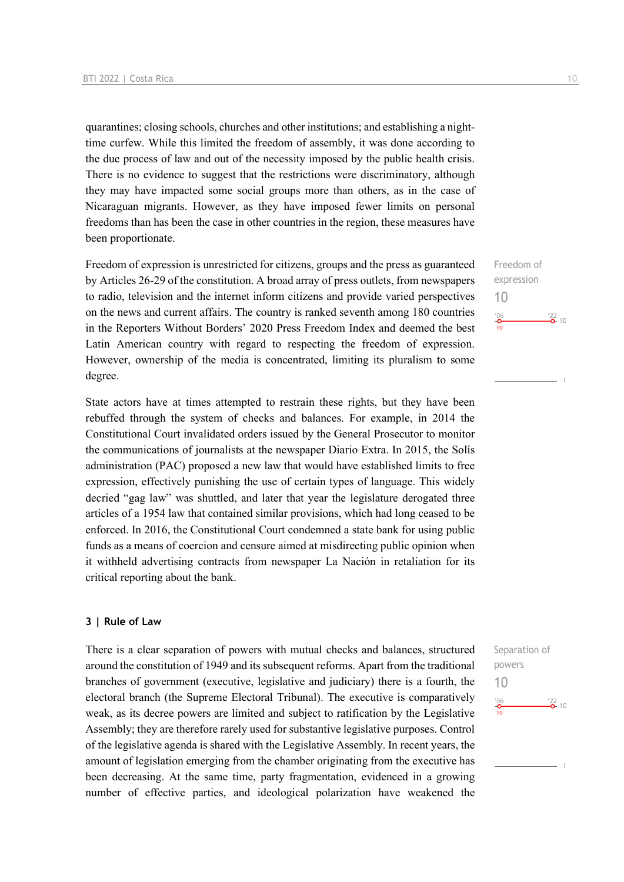quarantines; closing schools, churches and other institutions; and establishing a nighttime curfew. While this limited the freedom of assembly, it was done according to the due process of law and out of the necessity imposed by the public health crisis. There is no evidence to suggest that the restrictions were discriminatory, although they may have impacted some social groups more than others, as in the case of Nicaraguan migrants. However, as they have imposed fewer limits on personal freedoms than has been the case in other countries in the region, these measures have been proportionate.

Freedom of expression is unrestricted for citizens, groups and the press as guaranteed by Articles 26-29 of the constitution. A broad array of press outlets, from newspapers to radio, television and the internet inform citizens and provide varied perspectives on the news and current affairs. The country is ranked seventh among 180 countries in the Reporters Without Borders' 2020 Press Freedom Index and deemed the best Latin American country with regard to respecting the freedom of expression. However, ownership of the media is concentrated, limiting its pluralism to some degree.

State actors have at times attempted to restrain these rights, but they have been rebuffed through the system of checks and balances. For example, in 2014 the Constitutional Court invalidated orders issued by the General Prosecutor to monitor the communications of journalists at the newspaper Diario Extra. In 2015, the Solís administration (PAC) proposed a new law that would have established limits to free expression, effectively punishing the use of certain types of language. This widely decried "gag law" was shuttled, and later that year the legislature derogated three articles of a 1954 law that contained similar provisions, which had long ceased to be enforced. In 2016, the Constitutional Court condemned a state bank for using public funds as a means of coercion and censure aimed at misdirecting public opinion when it withheld advertising contracts from newspaper La Nación in retaliation for its critical reporting about the bank.

#### **3 | Rule of Law**

There is a clear separation of powers with mutual checks and balances, structured around the constitution of 1949 and its subsequent reforms. Apart from the traditional branches of government (executive, legislative and judiciary) there is a fourth, the electoral branch (the Supreme Electoral Tribunal). The executive is comparatively weak, as its decree powers are limited and subject to ratification by the Legislative Assembly; they are therefore rarely used for substantive legislative purposes. Control of the legislative agenda is shared with the Legislative Assembly. In recent years, the amount of legislation emerging from the chamber originating from the executive has been decreasing. At the same time, party fragmentation, evidenced in a growing number of effective parties, and ideological polarization have weakened the

Freedom of expression 10  $\frac{106}{2}$  $\frac{22}{2}$  10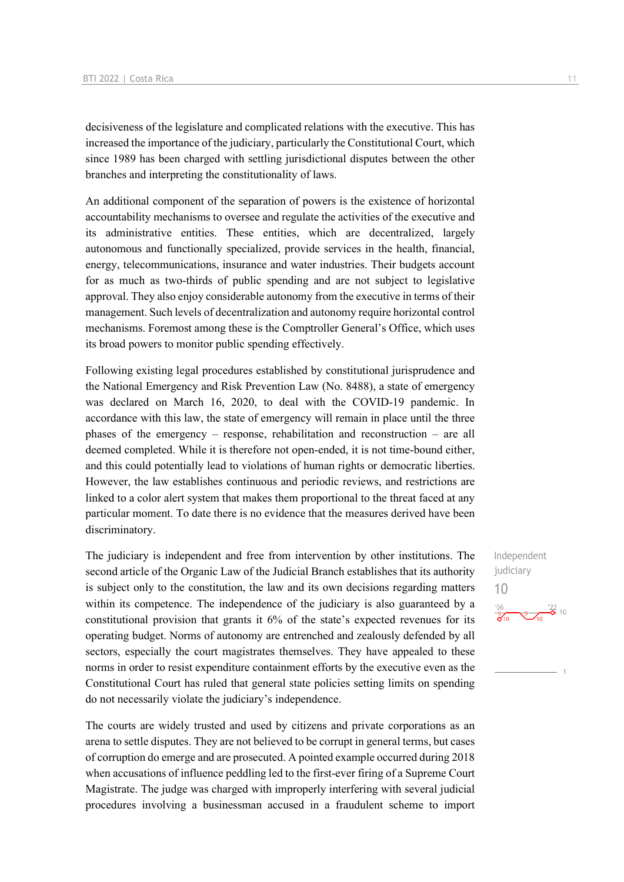decisiveness of the legislature and complicated relations with the executive. This has increased the importance of the judiciary, particularly the Constitutional Court, which since 1989 has been charged with settling jurisdictional disputes between the other branches and interpreting the constitutionality of laws.

An additional component of the separation of powers is the existence of horizontal accountability mechanisms to oversee and regulate the activities of the executive and its administrative entities. These entities, which are decentralized, largely autonomous and functionally specialized, provide services in the health, financial, energy, telecommunications, insurance and water industries. Their budgets account for as much as two-thirds of public spending and are not subject to legislative approval. They also enjoy considerable autonomy from the executive in terms of their management. Such levels of decentralization and autonomy require horizontal control mechanisms. Foremost among these is the Comptroller General's Office, which uses its broad powers to monitor public spending effectively.

Following existing legal procedures established by constitutional jurisprudence and the National Emergency and Risk Prevention Law (No. 8488), a state of emergency was declared on March 16, 2020, to deal with the COVID-19 pandemic. In accordance with this law, the state of emergency will remain in place until the three phases of the emergency – response, rehabilitation and reconstruction – are all deemed completed. While it is therefore not open-ended, it is not time-bound either, and this could potentially lead to violations of human rights or democratic liberties. However, the law establishes continuous and periodic reviews, and restrictions are linked to a color alert system that makes them proportional to the threat faced at any particular moment. To date there is no evidence that the measures derived have been discriminatory.

The judiciary is independent and free from intervention by other institutions. The second article of the Organic Law of the Judicial Branch establishes that its authority is subject only to the constitution, the law and its own decisions regarding matters within its competence. The independence of the judiciary is also guaranteed by a constitutional provision that grants it 6% of the state's expected revenues for its operating budget. Norms of autonomy are entrenched and zealously defended by all sectors, especially the court magistrates themselves. They have appealed to these norms in order to resist expenditure containment efforts by the executive even as the Constitutional Court has ruled that general state policies setting limits on spending do not necessarily violate the judiciary's independence.

The courts are widely trusted and used by citizens and private corporations as an arena to settle disputes. They are not believed to be corrupt in general terms, but cases of corruption do emerge and are prosecuted. A pointed example occurred during 2018 when accusations of influence peddling led to the first-ever firing of a Supreme Court Magistrate. The judge was charged with improperly interfering with several judicial procedures involving a businessman accused in a fraudulent scheme to import Independent judiciary 10 $\frac{106}{9}$   $\frac{9}{10}$   $\frac{122}{9}$  10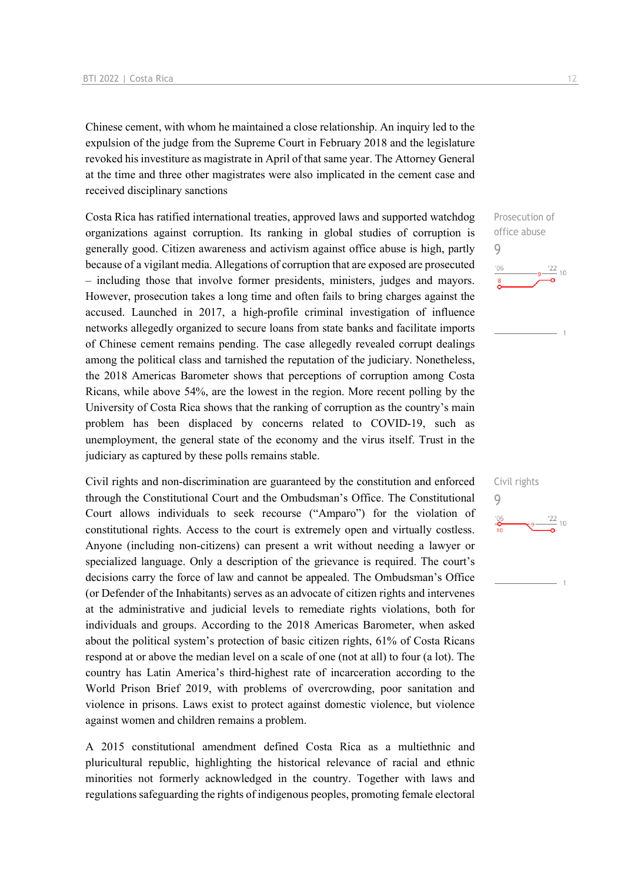Chinese cement, with whom he maintained a close relationship. An inquiry led to the expulsion of the judge from the Supreme Court in February 2018 and the legislature revoked his investiture as magistrate in April of that same year. The Attorney General at the time and three other magistrates were also implicated in the cement case and received disciplinary sanctions

Costa Rica has ratified international treaties, approved laws and supported watchdog organizations against corruption. Its ranking in global studies of corruption is generally good. Citizen awareness and activism against office abuse is high, partly because of a vigilant media. Allegations of corruption that are exposed are prosecuted – including those that involve former presidents, ministers, judges and mayors. However, prosecution takes a long time and often fails to bring charges against the accused. Launched in 2017, a high-profile criminal investigation of influence networks allegedly organized to secure loans from state banks and facilitate imports of Chinese cement remains pending. The case allegedly revealed corrupt dealings among the political class and tarnished the reputation of the judiciary. Nonetheless, the 2018 Americas Barometer shows that perceptions of corruption among Costa Ricans, while above 54%, are the lowest in the region. More recent polling by the University of Costa Rica shows that the ranking of corruption as the country's main problem has been displaced by concerns related to COVID-19, such as unemployment, the general state of the economy and the virus itself. Trust in the judiciary as captured by these polls remains stable.

Civil rights and non-discrimination are guaranteed by the constitution and enforced through the Constitutional Court and the Ombudsman's Office. The Constitutional Court allows individuals to seek recourse ("Amparo") for the violation of constitutional rights. Access to the court is extremely open and virtually costless. Anyone (including non-citizens) can present a writ without needing a lawyer or specialized language. Only a description of the grievance is required. The court's decisions carry the force of law and cannot be appealed. The Ombudsman's Office (or Defender of the Inhabitants) serves as an advocate of citizen rights and intervenes at the administrative and judicial levels to remediate rights violations, both for individuals and groups. According to the 2018 Americas Barometer, when asked about the political system's protection of basic citizen rights, 61% of Costa Ricans respond at or above the median level on a scale of one (not at all) to four (a lot). The country has Latin America's third-highest rate of incarceration according to the World Prison Brief 2019, with problems of overcrowding, poor sanitation and violence in prisons. Laws exist to protect against domestic violence, but violence against women and children remains a problem.

A 2015 constitutional amendment defined Costa Rica as a multiethnic and pluricultural republic, highlighting the historical relevance of racial and ethnic minorities not formerly acknowledged in the country. Together with laws and regulations safeguarding the rights of indigenous peoples, promoting female electoral



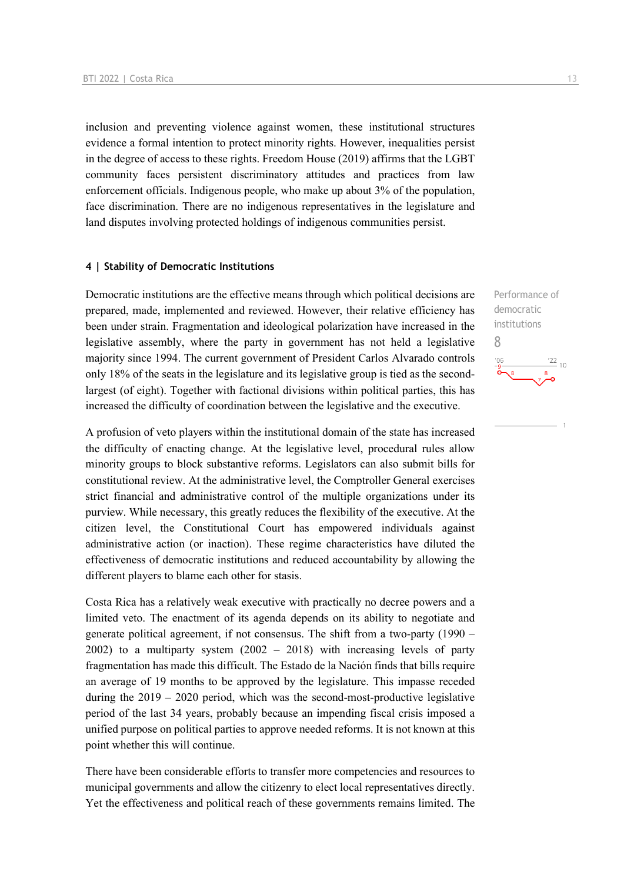inclusion and preventing violence against women, these institutional structures evidence a formal intention to protect minority rights. However, inequalities persist in the degree of access to these rights. Freedom House (2019) affirms that the LGBT community faces persistent discriminatory attitudes and practices from law enforcement officials. Indigenous people, who make up about 3% of the population, face discrimination. There are no indigenous representatives in the legislature and land disputes involving protected holdings of indigenous communities persist.

#### **4 | Stability of Democratic Institutions**

Democratic institutions are the effective means through which political decisions are prepared, made, implemented and reviewed. However, their relative efficiency has been under strain. Fragmentation and ideological polarization have increased in the legislative assembly, where the party in government has not held a legislative majority since 1994. The current government of President Carlos Alvarado controls only 18% of the seats in the legislature and its legislative group is tied as the secondlargest (of eight). Together with factional divisions within political parties, this has increased the difficulty of coordination between the legislative and the executive.

A profusion of veto players within the institutional domain of the state has increased the difficulty of enacting change. At the legislative level, procedural rules allow minority groups to block substantive reforms. Legislators can also submit bills for constitutional review. At the administrative level, the Comptroller General exercises strict financial and administrative control of the multiple organizations under its purview. While necessary, this greatly reduces the flexibility of the executive. At the citizen level, the Constitutional Court has empowered individuals against administrative action (or inaction). These regime characteristics have diluted the effectiveness of democratic institutions and reduced accountability by allowing the different players to blame each other for stasis.

Costa Rica has a relatively weak executive with practically no decree powers and a limited veto. The enactment of its agenda depends on its ability to negotiate and generate political agreement, if not consensus. The shift from a two-party (1990 – 2002) to a multiparty system  $(2002 - 2018)$  with increasing levels of party fragmentation has made this difficult. The Estado de la Nación finds that bills require an average of 19 months to be approved by the legislature. This impasse receded during the  $2019 - 2020$  period, which was the second-most-productive legislative period of the last 34 years, probably because an impending fiscal crisis imposed a unified purpose on political parties to approve needed reforms. It is not known at this point whether this will continue.

There have been considerable efforts to transfer more competencies and resources to municipal governments and allow the citizenry to elect local representatives directly. Yet the effectiveness and political reach of these governments remains limited. The

Performance of democratic institutions 8 $\frac{22}{10}$  $106$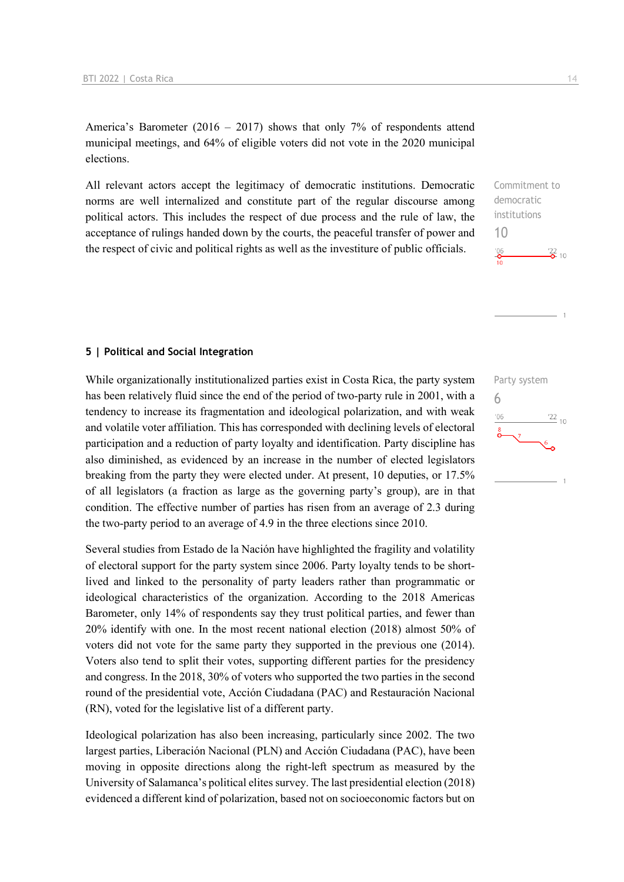America's Barometer (2016 – 2017) shows that only 7% of respondents attend municipal meetings, and 64% of eligible voters did not vote in the 2020 municipal elections.

All relevant actors accept the legitimacy of democratic institutions. Democratic norms are well internalized and constitute part of the regular discourse among political actors. This includes the respect of due process and the rule of law, the acceptance of rulings handed down by the courts, the peaceful transfer of power and the respect of civic and political rights as well as the investiture of public officials.

# Commitment to democratic institutions 10  $\frac{22}{2}$  10

## **5 | Political and Social Integration**

While organizationally institutionalized parties exist in Costa Rica, the party system has been relatively fluid since the end of the period of two-party rule in 2001, with a tendency to increase its fragmentation and ideological polarization, and with weak and volatile voter affiliation. This has corresponded with declining levels of electoral participation and a reduction of party loyalty and identification. Party discipline has also diminished, as evidenced by an increase in the number of elected legislators breaking from the party they were elected under. At present, 10 deputies, or 17.5% of all legislators (a fraction as large as the governing party's group), are in that condition. The effective number of parties has risen from an average of 2.3 during the two-party period to an average of 4.9 in the three elections since 2010.

Several studies from Estado de la Nación have highlighted the fragility and volatility of electoral support for the party system since 2006. Party loyalty tends to be shortlived and linked to the personality of party leaders rather than programmatic or ideological characteristics of the organization. According to the 2018 Americas Barometer, only 14% of respondents say they trust political parties, and fewer than 20% identify with one. In the most recent national election (2018) almost 50% of voters did not vote for the same party they supported in the previous one (2014). Voters also tend to split their votes, supporting different parties for the presidency and congress. In the 2018, 30% of voters who supported the two parties in the second round of the presidential vote, Acción Ciudadana (PAC) and Restauración Nacional (RN), voted for the legislative list of a different party.

Ideological polarization has also been increasing, particularly since 2002. The two largest parties, Liberación Nacional (PLN) and Acción Ciudadana (PAC), have been moving in opposite directions along the right-left spectrum as measured by the University of Salamanca's political elites survey. The last presidential election (2018) evidenced a different kind of polarization, based not on socioeconomic factors but on Party system 6 $\frac{22}{10}$  $106$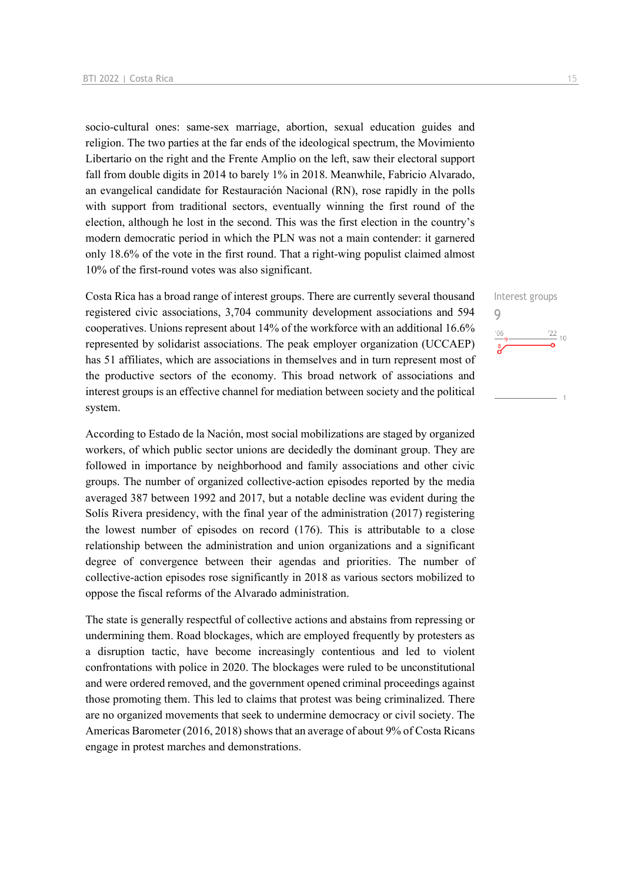socio-cultural ones: same-sex marriage, abortion, sexual education guides and religion. The two parties at the far ends of the ideological spectrum, the Movimiento Libertario on the right and the Frente Amplio on the left, saw their electoral support fall from double digits in 2014 to barely 1% in 2018. Meanwhile, Fabricio Alvarado, an evangelical candidate for Restauración Nacional (RN), rose rapidly in the polls with support from traditional sectors, eventually winning the first round of the election, although he lost in the second. This was the first election in the country's modern democratic period in which the PLN was not a main contender: it garnered only 18.6% of the vote in the first round. That a right-wing populist claimed almost 10% of the first-round votes was also significant.

Costa Rica has a broad range of interest groups. There are currently several thousand registered civic associations, 3,704 community development associations and 594 cooperatives. Unions represent about 14% of the workforce with an additional 16.6% represented by solidarist associations. The peak employer organization (UCCAEP) has 51 affiliates, which are associations in themselves and in turn represent most of the productive sectors of the economy. This broad network of associations and interest groups is an effective channel for mediation between society and the political system.

According to Estado de la Nación, most social mobilizations are staged by organized workers, of which public sector unions are decidedly the dominant group. They are followed in importance by neighborhood and family associations and other civic groups. The number of organized collective-action episodes reported by the media averaged 387 between 1992 and 2017, but a notable decline was evident during the Solís Rivera presidency, with the final year of the administration (2017) registering the lowest number of episodes on record (176). This is attributable to a close relationship between the administration and union organizations and a significant degree of convergence between their agendas and priorities. The number of collective-action episodes rose significantly in 2018 as various sectors mobilized to oppose the fiscal reforms of the Alvarado administration.

The state is generally respectful of collective actions and abstains from repressing or undermining them. Road blockages, which are employed frequently by protesters as a disruption tactic, have become increasingly contentious and led to violent confrontations with police in 2020. The blockages were ruled to be unconstitutional and were ordered removed, and the government opened criminal proceedings against those promoting them. This led to claims that protest was being criminalized. There are no organized movements that seek to undermine democracy or civil society. The Americas Barometer (2016, 2018) shows that an average of about 9% of Costa Ricans engage in protest marches and demonstrations.

Interest groups 9 $\frac{22}{10}$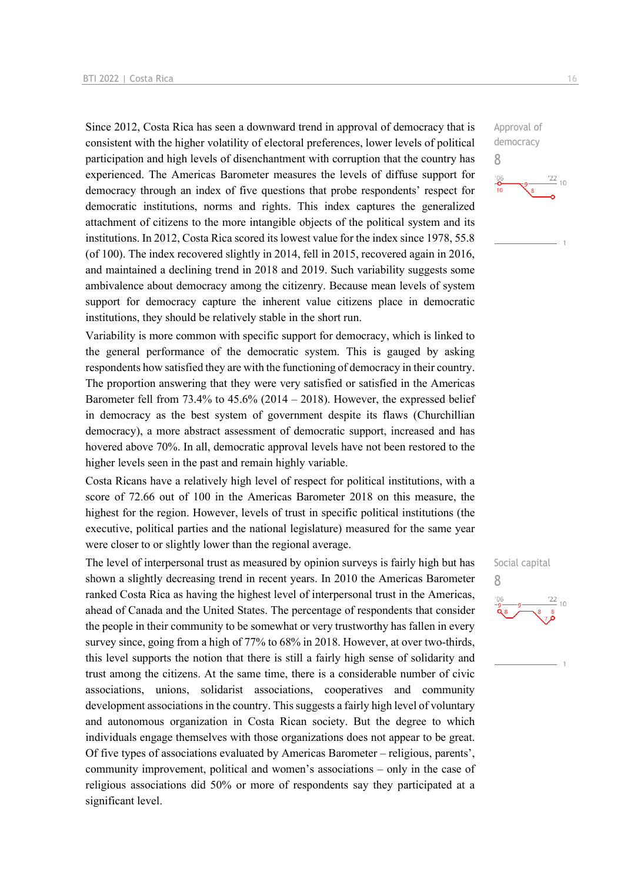Since 2012, Costa Rica has seen a downward trend in approval of democracy that is consistent with the higher volatility of electoral preferences, lower levels of political participation and high levels of disenchantment with corruption that the country has experienced. The Americas Barometer measures the levels of diffuse support for democracy through an index of five questions that probe respondents' respect for democratic institutions, norms and rights. This index captures the generalized attachment of citizens to the more intangible objects of the political system and its institutions. In 2012, Costa Rica scored its lowest value for the index since 1978, 55.8 (of 100). The index recovered slightly in 2014, fell in 2015, recovered again in 2016, and maintained a declining trend in 2018 and 2019. Such variability suggests some ambivalence about democracy among the citizenry. Because mean levels of system support for democracy capture the inherent value citizens place in democratic institutions, they should be relatively stable in the short run.

Variability is more common with specific support for democracy, which is linked to the general performance of the democratic system. This is gauged by asking respondents how satisfied they are with the functioning of democracy in their country. The proportion answering that they were very satisfied or satisfied in the Americas Barometer fell from 73.4% to 45.6% (2014 – 2018). However, the expressed belief in democracy as the best system of government despite its flaws (Churchillian democracy), a more abstract assessment of democratic support, increased and has hovered above 70%. In all, democratic approval levels have not been restored to the higher levels seen in the past and remain highly variable.

Costa Ricans have a relatively high level of respect for political institutions, with a score of 72.66 out of 100 in the Americas Barometer 2018 on this measure, the highest for the region. However, levels of trust in specific political institutions (the executive, political parties and the national legislature) measured for the same year were closer to or slightly lower than the regional average.

The level of interpersonal trust as measured by opinion surveys is fairly high but has shown a slightly decreasing trend in recent years. In 2010 the Americas Barometer ranked Costa Rica as having the highest level of interpersonal trust in the Americas, ahead of Canada and the United States. The percentage of respondents that consider the people in their community to be somewhat or very trustworthy has fallen in every survey since, going from a high of 77% to 68% in 2018. However, at over two-thirds, this level supports the notion that there is still a fairly high sense of solidarity and trust among the citizens. At the same time, there is a considerable number of civic associations, unions, solidarist associations, cooperatives and community development associations in the country. This suggests a fairly high level of voluntary and autonomous organization in Costa Rican society. But the degree to which individuals engage themselves with those organizations does not appear to be great. Of five types of associations evaluated by Americas Barometer – religious, parents', community improvement, political and women's associations – only in the case of religious associations did 50% or more of respondents say they participated at a significant level.

Approval of democracy 8  $\frac{22}{10}$  $\frac{106}{10}$ 

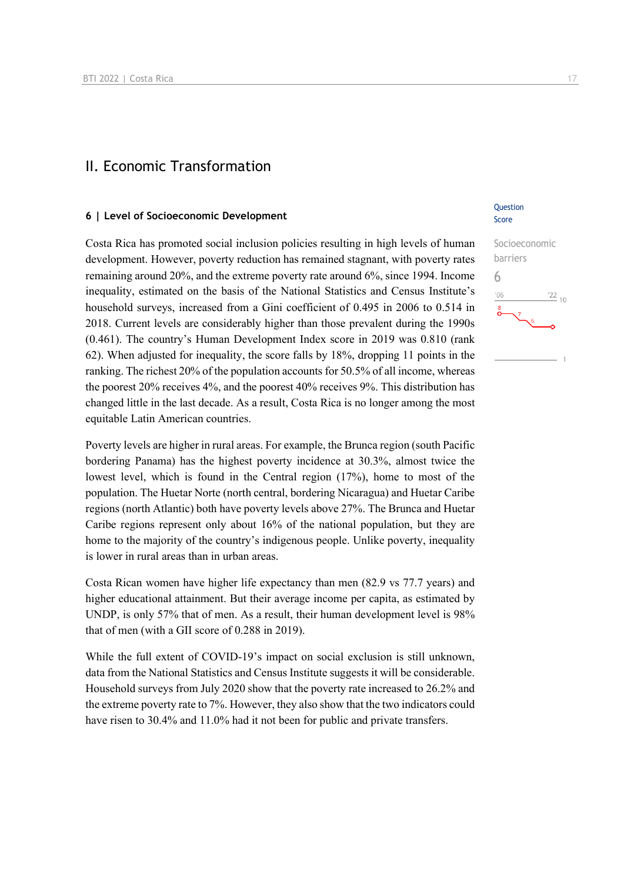## II. Economic Transformation

## **6 | Level of Socioeconomic Development**

Costa Rica has promoted social inclusion policies resulting in high levels of human development. However, poverty reduction has remained stagnant, with poverty rates remaining around 20%, and the extreme poverty rate around 6%, since 1994. Income inequality, estimated on the basis of the National Statistics and Census Institute's household surveys, increased from a Gini coefficient of 0.495 in 2006 to 0.514 in 2018. Current levels are considerably higher than those prevalent during the 1990s (0.461). The country's Human Development Index score in 2019 was 0.810 (rank 62). When adjusted for inequality, the score falls by 18%, dropping 11 points in the ranking. The richest 20% of the population accounts for 50.5% of all income, whereas the poorest 20% receives 4%, and the poorest 40% receives 9%. This distribution has changed little in the last decade. As a result, Costa Rica is no longer among the most equitable Latin American countries.

Poverty levels are higher in rural areas. For example, the Brunca region (south Pacific bordering Panama) has the highest poverty incidence at 30.3%, almost twice the lowest level, which is found in the Central region (17%), home to most of the population. The Huetar Norte (north central, bordering Nicaragua) and Huetar Caribe regions (north Atlantic) both have poverty levels above 27%. The Brunca and Huetar Caribe regions represent only about 16% of the national population, but they are home to the majority of the country's indigenous people. Unlike poverty, inequality is lower in rural areas than in urban areas.

Costa Rican women have higher life expectancy than men (82.9 vs 77.7 years) and higher educational attainment. But their average income per capita, as estimated by UNDP, is only 57% that of men. As a result, their human development level is 98% that of men (with a GII score of 0.288 in 2019).

While the full extent of COVID-19's impact on social exclusion is still unknown, data from the National Statistics and Census Institute suggests it will be considerable. Household surveys from July 2020 show that the poverty rate increased to 26.2% and the extreme poverty rate to 7%. However, they also show that the two indicators could have risen to 30.4% and 11.0% had it not been for public and private transfers.

## **Question** Score

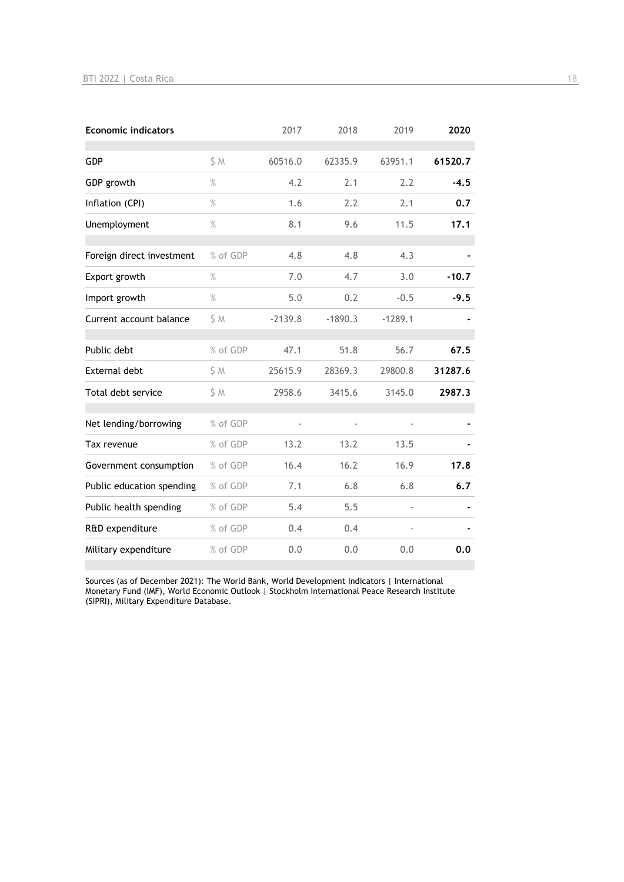| <b>Economic indicators</b> |          | 2017      | 2018      | 2019      | 2020    |
|----------------------------|----------|-----------|-----------|-----------|---------|
| <b>GDP</b>                 | S M      | 60516.0   | 62335.9   | 63951.1   | 61520.7 |
| GDP growth                 | $\%$     | 4.2       | 2.1       | 2.2       | $-4.5$  |
| Inflation (CPI)            | $\%$     | 1.6       | 2.2       | 2.1       | 0.7     |
| Unemployment               | $\%$     | 8.1       | 9.6       | 11.5      | 17.1    |
| Foreign direct investment  | % of GDP | 4.8       | 4.8       | 4.3       |         |
| Export growth              | $\%$     | 7.0       | 4.7       | 3.0       | $-10.7$ |
| Import growth              | $\%$     | 5.0       | 0.2       | $-0.5$    | $-9.5$  |
| Current account balance    | \$M      | $-2139.8$ | $-1890.3$ | $-1289.1$ |         |
| Public debt                | % of GDP | 47.1      | 51.8      | 56.7      | 67.5    |
| <b>External debt</b>       | \$ M     | 25615.9   | 28369.3   | 29800.8   | 31287.6 |
| Total debt service         | \$M      | 2958.6    | 3415.6    | 3145.0    | 2987.3  |
| Net lending/borrowing      | % of GDP |           |           |           |         |
| Tax revenue                | % of GDP | 13.2      | 13.2      | 13.5      |         |
| Government consumption     | % of GDP | 16.4      | 16.2      | 16.9      | 17.8    |
| Public education spending  | % of GDP | 7.1       | 6.8       | 6.8       | 6.7     |
| Public health spending     | % of GDP | 5.4       | 5.5       |           |         |
| R&D expenditure            | % of GDP | 0.4       | 0.4       |           |         |
| Military expenditure       | % of GDP | 0.0       | 0.0       | 0.0       | 0.0     |

Sources (as of December 2021): The World Bank, World Development Indicators | International Monetary Fund (IMF), World Economic Outlook | Stockholm International Peace Research Institute (SIPRI), Military Expenditure Database.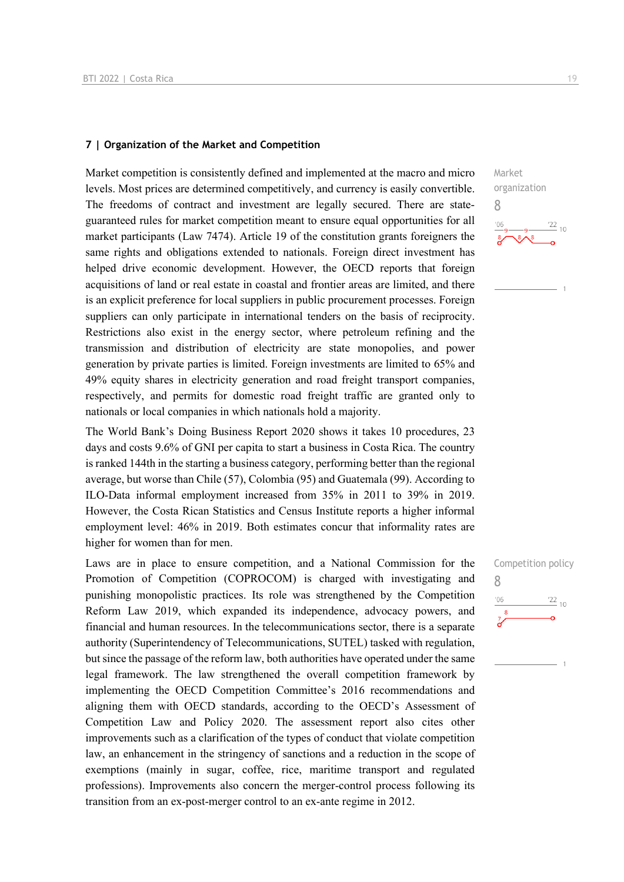## **7 | Organization of the Market and Competition**

Market competition is consistently defined and implemented at the macro and micro levels. Most prices are determined competitively, and currency is easily convertible. The freedoms of contract and investment are legally secured. There are stateguaranteed rules for market competition meant to ensure equal opportunities for all market participants (Law 7474). Article 19 of the constitution grants foreigners the same rights and obligations extended to nationals. Foreign direct investment has helped drive economic development. However, the OECD reports that foreign acquisitions of land or real estate in coastal and frontier areas are limited, and there is an explicit preference for local suppliers in public procurement processes. Foreign suppliers can only participate in international tenders on the basis of reciprocity. Restrictions also exist in the energy sector, where petroleum refining and the transmission and distribution of electricity are state monopolies, and power generation by private parties is limited. Foreign investments are limited to 65% and 49% equity shares in electricity generation and road freight transport companies, respectively, and permits for domestic road freight traffic are granted only to nationals or local companies in which nationals hold a majority.

The World Bank's Doing Business Report 2020 shows it takes 10 procedures, 23 days and costs 9.6% of GNI per capita to start a business in Costa Rica. The country is ranked 144th in the starting a business category, performing better than the regional average, but worse than Chile (57), Colombia (95) and Guatemala (99). According to ILO-Data informal employment increased from 35% in 2011 to 39% in 2019. However, the Costa Rican Statistics and Census Institute reports a higher informal employment level: 46% in 2019. Both estimates concur that informality rates are higher for women than for men.

Laws are in place to ensure competition, and a National Commission for the Promotion of Competition (COPROCOM) is charged with investigating and punishing monopolistic practices. Its role was strengthened by the Competition Reform Law 2019, which expanded its independence, advocacy powers, and financial and human resources. In the telecommunications sector, there is a separate authority (Superintendency of Telecommunications, SUTEL) tasked with regulation, but since the passage of the reform law, both authorities have operated under the same legal framework. The law strengthened the overall competition framework by implementing the OECD Competition Committee's 2016 recommendations and aligning them with OECD standards, according to the OECD's Assessment of Competition Law and Policy 2020. The assessment report also cites other improvements such as a clarification of the types of conduct that violate competition law, an enhancement in the stringency of sanctions and a reduction in the scope of exemptions (mainly in sugar, coffee, rice, maritime transport and regulated professions). Improvements also concern the merger-control process following its transition from an ex-post-merger control to an ex-ante regime in 2012.

Market organization 8  $\frac{22}{10}$ 

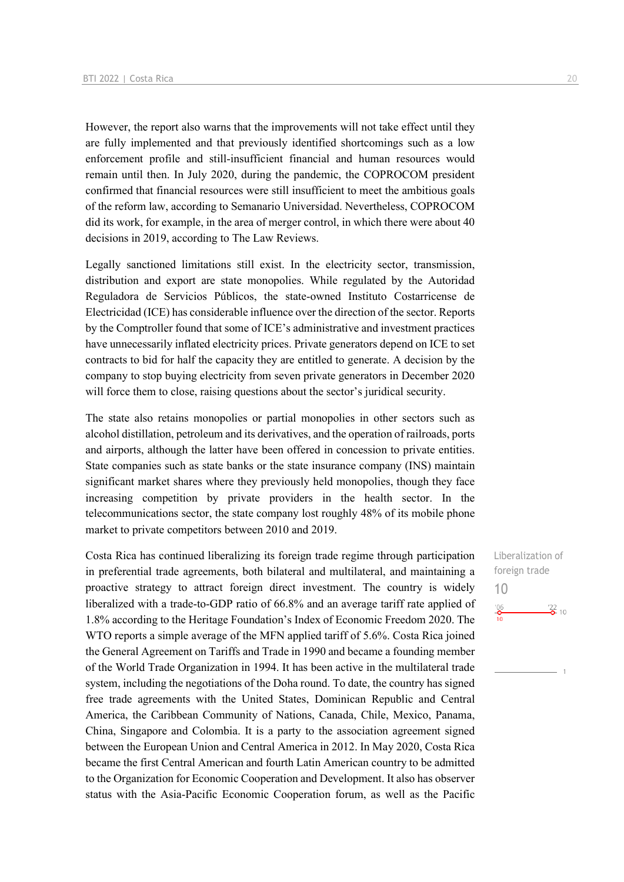However, the report also warns that the improvements will not take effect until they are fully implemented and that previously identified shortcomings such as a low enforcement profile and still-insufficient financial and human resources would remain until then. In July 2020, during the pandemic, the COPROCOM president confirmed that financial resources were still insufficient to meet the ambitious goals of the reform law, according to Semanario Universidad. Nevertheless, COPROCOM did its work, for example, in the area of merger control, in which there were about 40 decisions in 2019, according to The Law Reviews.

Legally sanctioned limitations still exist. In the electricity sector, transmission, distribution and export are state monopolies. While regulated by the Autoridad Reguladora de Servicios Públicos, the state-owned Instituto Costarricense de Electricidad (ICE) has considerable influence over the direction of the sector. Reports by the Comptroller found that some of ICE's administrative and investment practices have unnecessarily inflated electricity prices. Private generators depend on ICE to set contracts to bid for half the capacity they are entitled to generate. A decision by the company to stop buying electricity from seven private generators in December 2020 will force them to close, raising questions about the sector's juridical security.

The state also retains monopolies or partial monopolies in other sectors such as alcohol distillation, petroleum and its derivatives, and the operation of railroads, ports and airports, although the latter have been offered in concession to private entities. State companies such as state banks or the state insurance company (INS) maintain significant market shares where they previously held monopolies, though they face increasing competition by private providers in the health sector. In the telecommunications sector, the state company lost roughly 48% of its mobile phone market to private competitors between 2010 and 2019.

Costa Rica has continued liberalizing its foreign trade regime through participation in preferential trade agreements, both bilateral and multilateral, and maintaining a proactive strategy to attract foreign direct investment. The country is widely liberalized with a trade-to-GDP ratio of 66.8% and an average tariff rate applied of 1.8% according to the Heritage Foundation's Index of Economic Freedom 2020. The WTO reports a simple average of the MFN applied tariff of 5.6%. Costa Rica joined the General Agreement on Tariffs and Trade in 1990 and became a founding member of the World Trade Organization in 1994. It has been active in the multilateral trade system, including the negotiations of the Doha round. To date, the country has signed free trade agreements with the United States, Dominican Republic and Central America, the Caribbean Community of Nations, Canada, Chile, Mexico, Panama, China, Singapore and Colombia. It is a party to the association agreement signed between the European Union and Central America in 2012. In May 2020, Costa Rica became the first Central American and fourth Latin American country to be admitted to the Organization for Economic Cooperation and Development. It also has observer status with the Asia-Pacific Economic Cooperation forum, as well as the Pacific

Liberalization of foreign trade 10 $^{106}$  $\frac{22}{6}$  10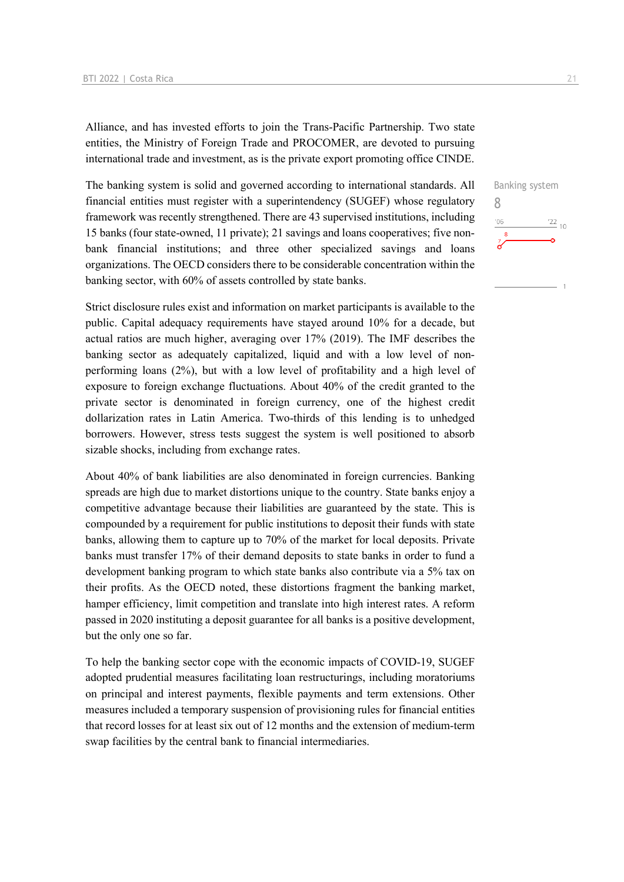Alliance, and has invested efforts to join the Trans-Pacific Partnership. Two state entities, the Ministry of Foreign Trade and PROCOMER, are devoted to pursuing international trade and investment, as is the private export promoting office CINDE.

The banking system is solid and governed according to international standards. All financial entities must register with a superintendency (SUGEF) whose regulatory framework was recently strengthened. There are 43 supervised institutions, including 15 banks (four state-owned, 11 private); 21 savings and loans cooperatives; five nonbank financial institutions; and three other specialized savings and loans organizations. The OECD considers there to be considerable concentration within the banking sector, with 60% of assets controlled by state banks.

Strict disclosure rules exist and information on market participants is available to the public. Capital adequacy requirements have stayed around 10% for a decade, but actual ratios are much higher, averaging over 17% (2019). The IMF describes the banking sector as adequately capitalized, liquid and with a low level of nonperforming loans (2%), but with a low level of profitability and a high level of exposure to foreign exchange fluctuations. About 40% of the credit granted to the private sector is denominated in foreign currency, one of the highest credit dollarization rates in Latin America. Two-thirds of this lending is to unhedged borrowers. However, stress tests suggest the system is well positioned to absorb sizable shocks, including from exchange rates.

About 40% of bank liabilities are also denominated in foreign currencies. Banking spreads are high due to market distortions unique to the country. State banks enjoy a competitive advantage because their liabilities are guaranteed by the state. This is compounded by a requirement for public institutions to deposit their funds with state banks, allowing them to capture up to 70% of the market for local deposits. Private banks must transfer 17% of their demand deposits to state banks in order to fund a development banking program to which state banks also contribute via a 5% tax on their profits. As the OECD noted, these distortions fragment the banking market, hamper efficiency, limit competition and translate into high interest rates. A reform passed in 2020 instituting a deposit guarantee for all banks is a positive development, but the only one so far.

To help the banking sector cope with the economic impacts of COVID-19, SUGEF adopted prudential measures facilitating loan restructurings, including moratoriums on principal and interest payments, flexible payments and term extensions. Other measures included a temporary suspension of provisioning rules for financial entities that record losses for at least six out of 12 months and the extension of medium-term swap facilities by the central bank to financial intermediaries.

Banking system 8 $\frac{22}{10}$  $^{\prime}06$  $\mathbf{z}$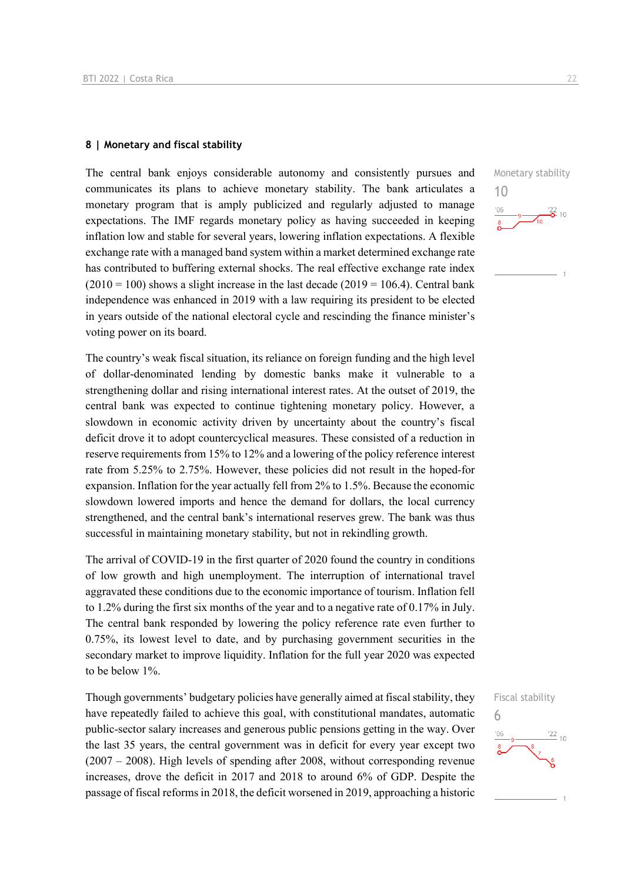## **8 | Monetary and fiscal stability**

The central bank enjoys considerable autonomy and consistently pursues and communicates its plans to achieve monetary stability. The bank articulates a monetary program that is amply publicized and regularly adjusted to manage expectations. The IMF regards monetary policy as having succeeded in keeping inflation low and stable for several years, lowering inflation expectations. A flexible exchange rate with a managed band system within a market determined exchange rate has contributed to buffering external shocks. The real effective exchange rate index  $(2010 = 100)$  shows a slight increase in the last decade  $(2019 = 106.4)$ . Central bank independence was enhanced in 2019 with a law requiring its president to be elected in years outside of the national electoral cycle and rescinding the finance minister's voting power on its board.

The country's weak fiscal situation, its reliance on foreign funding and the high level of dollar-denominated lending by domestic banks make it vulnerable to a strengthening dollar and rising international interest rates. At the outset of 2019, the central bank was expected to continue tightening monetary policy. However, a slowdown in economic activity driven by uncertainty about the country's fiscal deficit drove it to adopt countercyclical measures. These consisted of a reduction in reserve requirements from 15% to 12% and a lowering of the policy reference interest rate from 5.25% to 2.75%. However, these policies did not result in the hoped-for expansion. Inflation for the year actually fell from 2% to 1.5%. Because the economic slowdown lowered imports and hence the demand for dollars, the local currency strengthened, and the central bank's international reserves grew. The bank was thus successful in maintaining monetary stability, but not in rekindling growth.

The arrival of COVID-19 in the first quarter of 2020 found the country in conditions of low growth and high unemployment. The interruption of international travel aggravated these conditions due to the economic importance of tourism. Inflation fell to 1.2% during the first six months of the year and to a negative rate of 0.17% in July. The central bank responded by lowering the policy reference rate even further to 0.75%, its lowest level to date, and by purchasing government securities in the secondary market to improve liquidity. Inflation for the full year 2020 was expected to be below 1%.

Though governments' budgetary policies have generally aimed at fiscal stability, they have repeatedly failed to achieve this goal, with constitutional mandates, automatic public-sector salary increases and generous public pensions getting in the way. Over the last 35 years, the central government was in deficit for every year except two (2007 – 2008). High levels of spending after 2008, without corresponding revenue increases, drove the deficit in 2017 and 2018 to around 6% of GDP. Despite the passage of fiscal reforms in 2018, the deficit worsened in 2019, approaching a historic



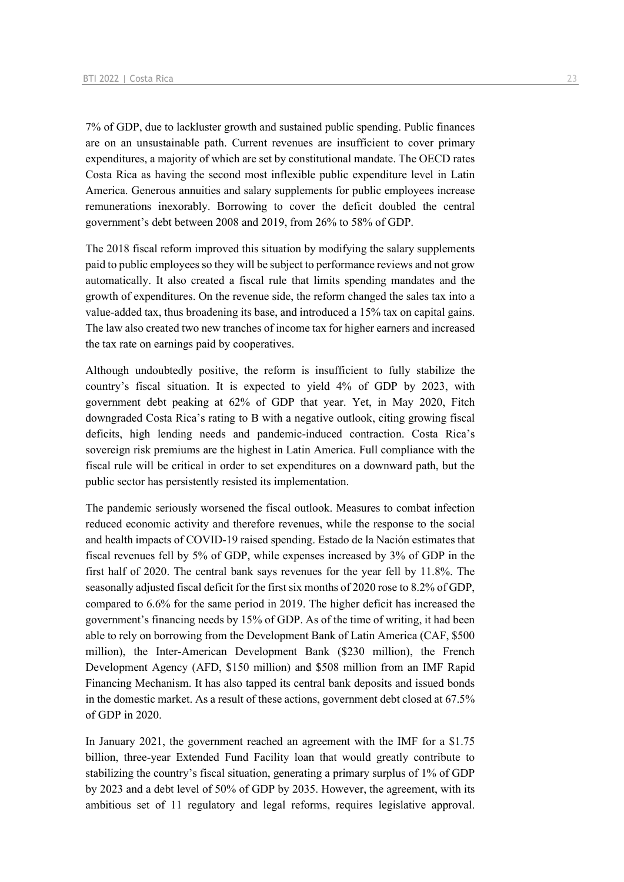7% of GDP, due to lackluster growth and sustained public spending. Public finances are on an unsustainable path. Current revenues are insufficient to cover primary expenditures, a majority of which are set by constitutional mandate. The OECD rates Costa Rica as having the second most inflexible public expenditure level in Latin America. Generous annuities and salary supplements for public employees increase remunerations inexorably. Borrowing to cover the deficit doubled the central government's debt between 2008 and 2019, from 26% to 58% of GDP.

The 2018 fiscal reform improved this situation by modifying the salary supplements paid to public employees so they will be subject to performance reviews and not grow automatically. It also created a fiscal rule that limits spending mandates and the growth of expenditures. On the revenue side, the reform changed the sales tax into a value-added tax, thus broadening its base, and introduced a 15% tax on capital gains. The law also created two new tranches of income tax for higher earners and increased the tax rate on earnings paid by cooperatives.

Although undoubtedly positive, the reform is insufficient to fully stabilize the country's fiscal situation. It is expected to yield 4% of GDP by 2023, with government debt peaking at 62% of GDP that year. Yet, in May 2020, Fitch downgraded Costa Rica's rating to B with a negative outlook, citing growing fiscal deficits, high lending needs and pandemic-induced contraction. Costa Rica's sovereign risk premiums are the highest in Latin America. Full compliance with the fiscal rule will be critical in order to set expenditures on a downward path, but the public sector has persistently resisted its implementation.

The pandemic seriously worsened the fiscal outlook. Measures to combat infection reduced economic activity and therefore revenues, while the response to the social and health impacts of COVID-19 raised spending. Estado de la Nación estimates that fiscal revenues fell by 5% of GDP, while expenses increased by 3% of GDP in the first half of 2020. The central bank says revenues for the year fell by 11.8%. The seasonally adjusted fiscal deficit for the first six months of 2020 rose to 8.2% of GDP, compared to 6.6% for the same period in 2019. The higher deficit has increased the government's financing needs by 15% of GDP. As of the time of writing, it had been able to rely on borrowing from the Development Bank of Latin America (CAF, \$500 million), the Inter-American Development Bank (\$230 million), the French Development Agency (AFD, \$150 million) and \$508 million from an IMF Rapid Financing Mechanism. It has also tapped its central bank deposits and issued bonds in the domestic market. As a result of these actions, government debt closed at 67.5% of GDP in 2020.

In January 2021, the government reached an agreement with the IMF for a \$1.75 billion, three-year Extended Fund Facility loan that would greatly contribute to stabilizing the country's fiscal situation, generating a primary surplus of 1% of GDP by 2023 and a debt level of 50% of GDP by 2035. However, the agreement, with its ambitious set of 11 regulatory and legal reforms, requires legislative approval.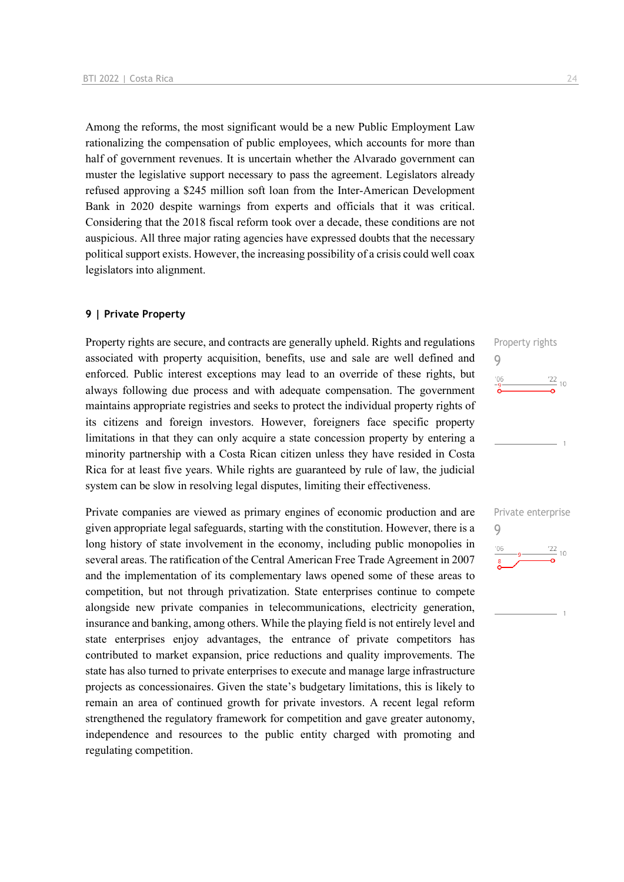Among the reforms, the most significant would be a new Public Employment Law rationalizing the compensation of public employees, which accounts for more than half of government revenues. It is uncertain whether the Alvarado government can muster the legislative support necessary to pass the agreement. Legislators already refused approving a \$245 million soft loan from the Inter-American Development Bank in 2020 despite warnings from experts and officials that it was critical. Considering that the 2018 fiscal reform took over a decade, these conditions are not auspicious. All three major rating agencies have expressed doubts that the necessary political support exists. However, the increasing possibility of a crisis could well coax legislators into alignment.

## **9 | Private Property**

Property rights are secure, and contracts are generally upheld. Rights and regulations associated with property acquisition, benefits, use and sale are well defined and enforced. Public interest exceptions may lead to an override of these rights, but always following due process and with adequate compensation. The government maintains appropriate registries and seeks to protect the individual property rights of its citizens and foreign investors. However, foreigners face specific property limitations in that they can only acquire a state concession property by entering a minority partnership with a Costa Rican citizen unless they have resided in Costa Rica for at least five years. While rights are guaranteed by rule of law, the judicial system can be slow in resolving legal disputes, limiting their effectiveness.

Private companies are viewed as primary engines of economic production and are given appropriate legal safeguards, starting with the constitution. However, there is a long history of state involvement in the economy, including public monopolies in several areas. The ratification of the Central American Free Trade Agreement in 2007 and the implementation of its complementary laws opened some of these areas to competition, but not through privatization. State enterprises continue to compete alongside new private companies in telecommunications, electricity generation, insurance and banking, among others. While the playing field is not entirely level and state enterprises enjoy advantages, the entrance of private competitors has contributed to market expansion, price reductions and quality improvements. The state has also turned to private enterprises to execute and manage large infrastructure projects as concessionaires. Given the state's budgetary limitations, this is likely to remain an area of continued growth for private investors. A recent legal reform strengthened the regulatory framework for competition and gave greater autonomy, independence and resources to the public entity charged with promoting and regulating competition.



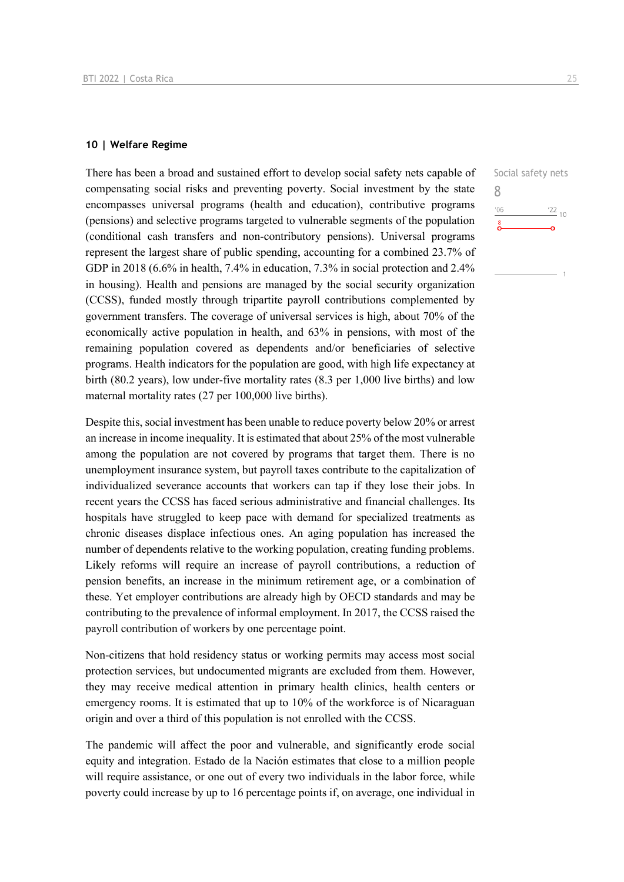## **10 | Welfare Regime**

There has been a broad and sustained effort to develop social safety nets capable of compensating social risks and preventing poverty. Social investment by the state encompasses universal programs (health and education), contributive programs (pensions) and selective programs targeted to vulnerable segments of the population (conditional cash transfers and non-contributory pensions). Universal programs represent the largest share of public spending, accounting for a combined 23.7% of GDP in 2018 (6.6% in health, 7.4% in education, 7.3% in social protection and 2.4% in housing). Health and pensions are managed by the social security organization (CCSS), funded mostly through tripartite payroll contributions complemented by government transfers. The coverage of universal services is high, about 70% of the economically active population in health, and 63% in pensions, with most of the remaining population covered as dependents and/or beneficiaries of selective programs. Health indicators for the population are good, with high life expectancy at birth (80.2 years), low under-five mortality rates (8.3 per 1,000 live births) and low maternal mortality rates (27 per 100,000 live births).

Despite this, social investment has been unable to reduce poverty below 20% or arrest an increase in income inequality. It is estimated that about 25% of the most vulnerable among the population are not covered by programs that target them. There is no unemployment insurance system, but payroll taxes contribute to the capitalization of individualized severance accounts that workers can tap if they lose their jobs. In recent years the CCSS has faced serious administrative and financial challenges. Its hospitals have struggled to keep pace with demand for specialized treatments as chronic diseases displace infectious ones. An aging population has increased the number of dependents relative to the working population, creating funding problems. Likely reforms will require an increase of payroll contributions, a reduction of pension benefits, an increase in the minimum retirement age, or a combination of these. Yet employer contributions are already high by OECD standards and may be contributing to the prevalence of informal employment. In 2017, the CCSS raised the payroll contribution of workers by one percentage point.

Non-citizens that hold residency status or working permits may access most social protection services, but undocumented migrants are excluded from them. However, they may receive medical attention in primary health clinics, health centers or emergency rooms. It is estimated that up to 10% of the workforce is of Nicaraguan origin and over a third of this population is not enrolled with the CCSS.

The pandemic will affect the poor and vulnerable, and significantly erode social equity and integration. Estado de la Nación estimates that close to a million people will require assistance, or one out of every two individuals in the labor force, while poverty could increase by up to 16 percentage points if, on average, one individual in Social safety nets

 $\frac{22}{10}$ 

8

 $'06$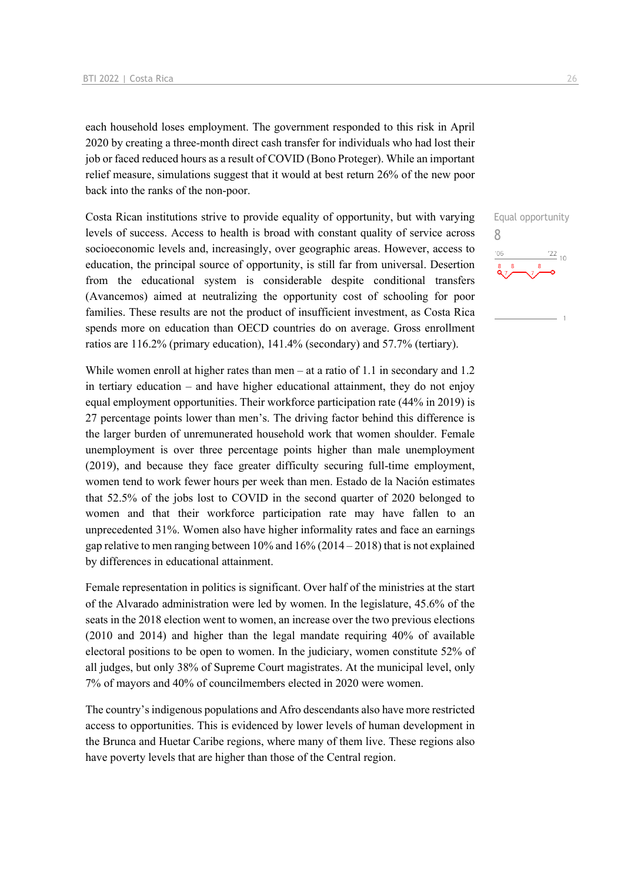each household loses employment. The government responded to this risk in April 2020 by creating a three-month direct cash transfer for individuals who had lost their job or faced reduced hours as a result of COVID (Bono Proteger). While an important relief measure, simulations suggest that it would at best return 26% of the new poor back into the ranks of the non-poor.

Costa Rican institutions strive to provide equality of opportunity, but with varying levels of success. Access to health is broad with constant quality of service across socioeconomic levels and, increasingly, over geographic areas. However, access to education, the principal source of opportunity, is still far from universal. Desertion from the educational system is considerable despite conditional transfers (Avancemos) aimed at neutralizing the opportunity cost of schooling for poor families. These results are not the product of insufficient investment, as Costa Rica spends more on education than OECD countries do on average. Gross enrollment ratios are 116.2% (primary education), 141.4% (secondary) and 57.7% (tertiary).

While women enroll at higher rates than men – at a ratio of 1.1 in secondary and 1.2 in tertiary education – and have higher educational attainment, they do not enjoy equal employment opportunities. Their workforce participation rate (44% in 2019) is 27 percentage points lower than men's. The driving factor behind this difference is the larger burden of unremunerated household work that women shoulder. Female unemployment is over three percentage points higher than male unemployment (2019), and because they face greater difficulty securing full-time employment, women tend to work fewer hours per week than men. Estado de la Nación estimates that 52.5% of the jobs lost to COVID in the second quarter of 2020 belonged to women and that their workforce participation rate may have fallen to an unprecedented 31%. Women also have higher informality rates and face an earnings gap relative to men ranging between  $10\%$  and  $16\%$  (2014 – 2018) that is not explained by differences in educational attainment.

Female representation in politics is significant. Over half of the ministries at the start of the Alvarado administration were led by women. In the legislature, 45.6% of the seats in the 2018 election went to women, an increase over the two previous elections (2010 and 2014) and higher than the legal mandate requiring 40% of available electoral positions to be open to women. In the judiciary, women constitute 52% of all judges, but only 38% of Supreme Court magistrates. At the municipal level, only 7% of mayors and 40% of councilmembers elected in 2020 were women.

The country's indigenous populations and Afro descendants also have more restricted access to opportunities. This is evidenced by lower levels of human development in the Brunca and Huetar Caribe regions, where many of them live. These regions also have poverty levels that are higher than those of the Central region.

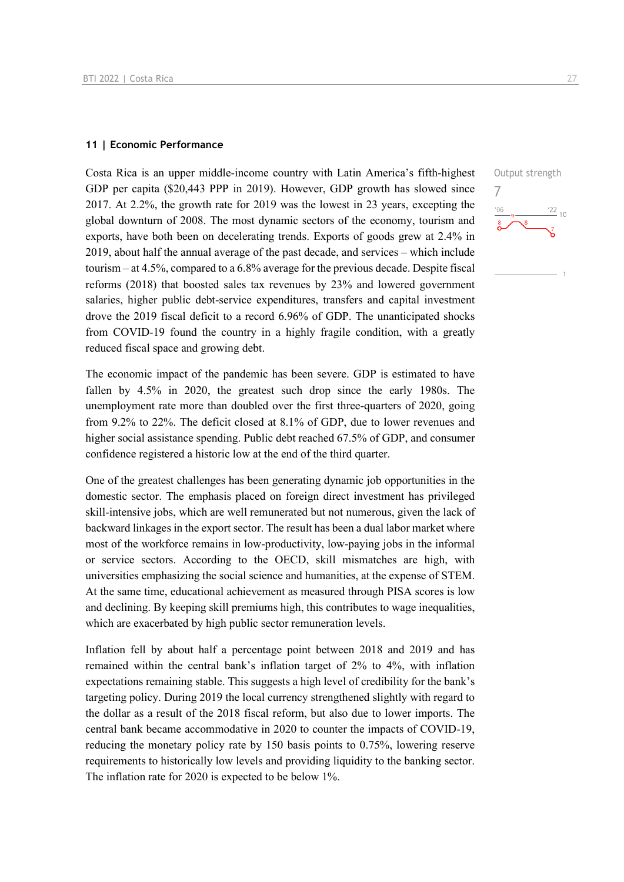## **11 | Economic Performance**

Costa Rica is an upper middle-income country with Latin America's fifth-highest GDP per capita (\$20,443 PPP in 2019). However, GDP growth has slowed since 2017. At 2.2%, the growth rate for 2019 was the lowest in 23 years, excepting the global downturn of 2008. The most dynamic sectors of the economy, tourism and exports, have both been on decelerating trends. Exports of goods grew at 2.4% in 2019, about half the annual average of the past decade, and services – which include tourism – at 4.5%, compared to a 6.8% average for the previous decade. Despite fiscal reforms (2018) that boosted sales tax revenues by 23% and lowered government salaries, higher public debt-service expenditures, transfers and capital investment drove the 2019 fiscal deficit to a record 6.96% of GDP. The unanticipated shocks from COVID-19 found the country in a highly fragile condition, with a greatly reduced fiscal space and growing debt.

The economic impact of the pandemic has been severe. GDP is estimated to have fallen by 4.5% in 2020, the greatest such drop since the early 1980s. The unemployment rate more than doubled over the first three-quarters of 2020, going from 9.2% to 22%. The deficit closed at 8.1% of GDP, due to lower revenues and higher social assistance spending. Public debt reached 67.5% of GDP, and consumer confidence registered a historic low at the end of the third quarter.

One of the greatest challenges has been generating dynamic job opportunities in the domestic sector. The emphasis placed on foreign direct investment has privileged skill-intensive jobs, which are well remunerated but not numerous, given the lack of backward linkages in the export sector. The result has been a dual labor market where most of the workforce remains in low-productivity, low-paying jobs in the informal or service sectors. According to the OECD, skill mismatches are high, with universities emphasizing the social science and humanities, at the expense of STEM. At the same time, educational achievement as measured through PISA scores is low and declining. By keeping skill premiums high, this contributes to wage inequalities, which are exacerbated by high public sector remuneration levels.

Inflation fell by about half a percentage point between 2018 and 2019 and has remained within the central bank's inflation target of 2% to 4%, with inflation expectations remaining stable. This suggests a high level of credibility for the bank's targeting policy. During 2019 the local currency strengthened slightly with regard to the dollar as a result of the 2018 fiscal reform, but also due to lower imports. The central bank became accommodative in 2020 to counter the impacts of COVID-19, reducing the monetary policy rate by 150 basis points to 0.75%, lowering reserve requirements to historically low levels and providing liquidity to the banking sector. The inflation rate for 2020 is expected to be below 1%.

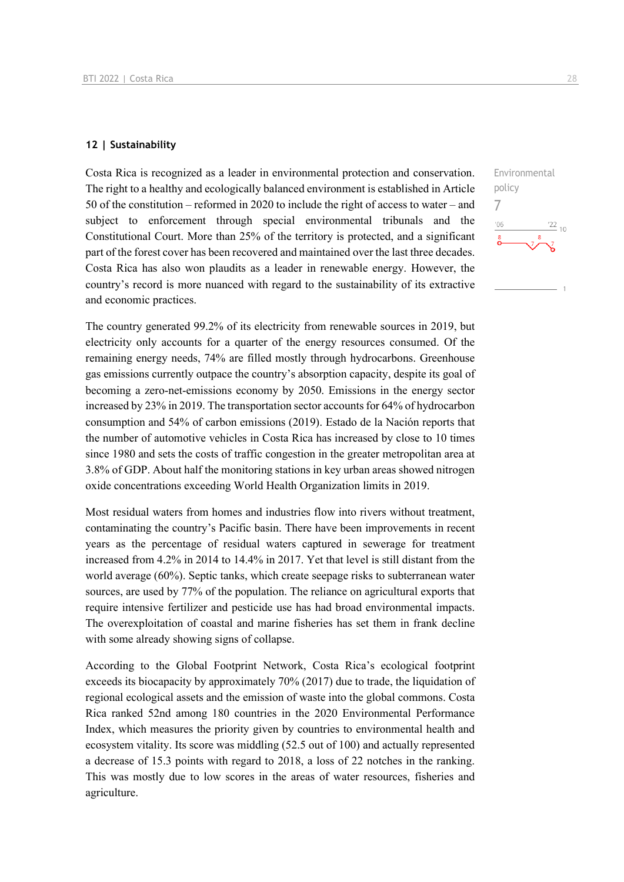## **12 | Sustainability**

Costa Rica is recognized as a leader in environmental protection and conservation. The right to a healthy and ecologically balanced environment is established in Article 50 of the constitution – reformed in 2020 to include the right of access to water – and subject to enforcement through special environmental tribunals and the Constitutional Court. More than 25% of the territory is protected, and a significant part of the forest cover has been recovered and maintained over the last three decades. Costa Rica has also won plaudits as a leader in renewable energy. However, the country's record is more nuanced with regard to the sustainability of its extractive and economic practices.

The country generated 99.2% of its electricity from renewable sources in 2019, but electricity only accounts for a quarter of the energy resources consumed. Of the remaining energy needs, 74% are filled mostly through hydrocarbons. Greenhouse gas emissions currently outpace the country's absorption capacity, despite its goal of becoming a zero-net-emissions economy by 2050. Emissions in the energy sector increased by 23% in 2019. The transportation sector accounts for 64% of hydrocarbon consumption and 54% of carbon emissions (2019). Estado de la Nación reports that the number of automotive vehicles in Costa Rica has increased by close to 10 times since 1980 and sets the costs of traffic congestion in the greater metropolitan area at 3.8% of GDP. About half the monitoring stations in key urban areas showed nitrogen oxide concentrations exceeding World Health Organization limits in 2019.

Most residual waters from homes and industries flow into rivers without treatment, contaminating the country's Pacific basin. There have been improvements in recent years as the percentage of residual waters captured in sewerage for treatment increased from 4.2% in 2014 to 14.4% in 2017. Yet that level is still distant from the world average (60%). Septic tanks, which create seepage risks to subterranean water sources, are used by 77% of the population. The reliance on agricultural exports that require intensive fertilizer and pesticide use has had broad environmental impacts. The overexploitation of coastal and marine fisheries has set them in frank decline with some already showing signs of collapse.

According to the Global Footprint Network, Costa Rica's ecological footprint exceeds its biocapacity by approximately 70% (2017) due to trade, the liquidation of regional ecological assets and the emission of waste into the global commons. Costa Rica ranked 52nd among 180 countries in the 2020 Environmental Performance Index, which measures the priority given by countries to environmental health and ecosystem vitality. Its score was middling (52.5 out of 100) and actually represented a decrease of 15.3 points with regard to 2018, a loss of 22 notches in the ranking. This was mostly due to low scores in the areas of water resources, fisheries and agriculture.

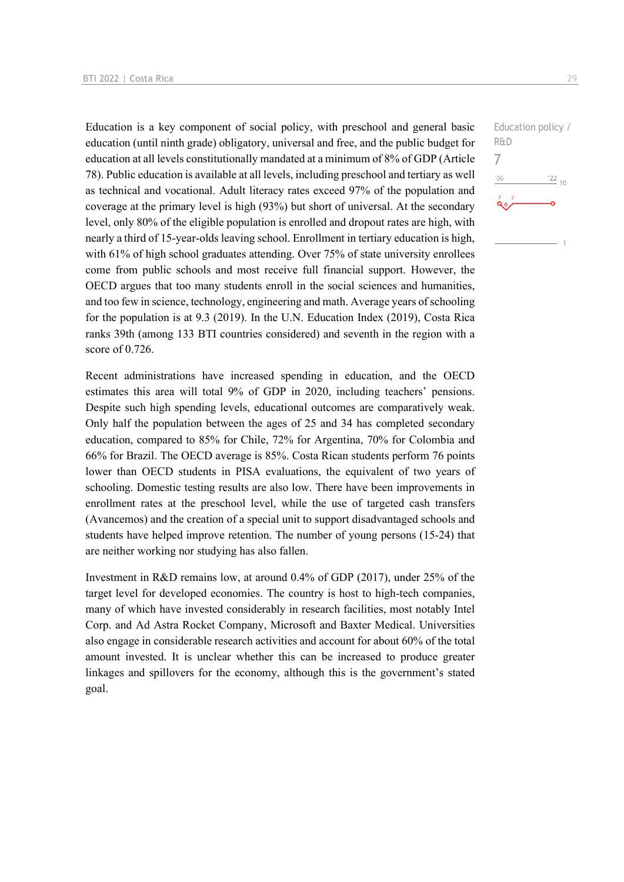Education is a key component of social policy, with preschool and general basic education (until ninth grade) obligatory, universal and free, and the public budget for education at all levels constitutionally mandated at a minimum of 8% of GDP (Article 78). Public education is available at all levels, including preschool and tertiary as well as technical and vocational. Adult literacy rates exceed 97% of the population and coverage at the primary level is high (93%) but short of universal. At the secondary level, only 80% of the eligible population is enrolled and dropout rates are high, with nearly a third of 15-year-olds leaving school. Enrollment in tertiary education is high, with 61% of high school graduates attending. Over 75% of state university enrollees come from public schools and most receive full financial support. However, the OECD argues that too many students enroll in the social sciences and humanities, and too few in science, technology, engineering and math. Average years of schooling for the population is at 9.3 (2019). In the U.N. Education Index (2019), Costa Rica ranks 39th (among 133 BTI countries considered) and seventh in the region with a score of 0.726.

Recent administrations have increased spending in education, and the OECD estimates this area will total 9% of GDP in 2020, including teachers' pensions. Despite such high spending levels, educational outcomes are comparatively weak. Only half the population between the ages of 25 and 34 has completed secondary education, compared to 85% for Chile, 72% for Argentina, 70% for Colombia and 66% for Brazil. The OECD average is 85%. Costa Rican students perform 76 points lower than OECD students in PISA evaluations, the equivalent of two years of schooling. Domestic testing results are also low. There have been improvements in enrollment rates at the preschool level, while the use of targeted cash transfers (Avancemos) and the creation of a special unit to support disadvantaged schools and students have helped improve retention. The number of young persons (15-24) that are neither working nor studying has also fallen.

Investment in R&D remains low, at around 0.4% of GDP (2017), under 25% of the target level for developed economies. The country is host to high-tech companies, many of which have invested considerably in research facilities, most notably Intel Corp. and Ad Astra Rocket Company, Microsoft and Baxter Medical. Universities also engage in considerable research activities and account for about 60% of the total amount invested. It is unclear whether this can be increased to produce greater linkages and spillovers for the economy, although this is the government's stated goal.

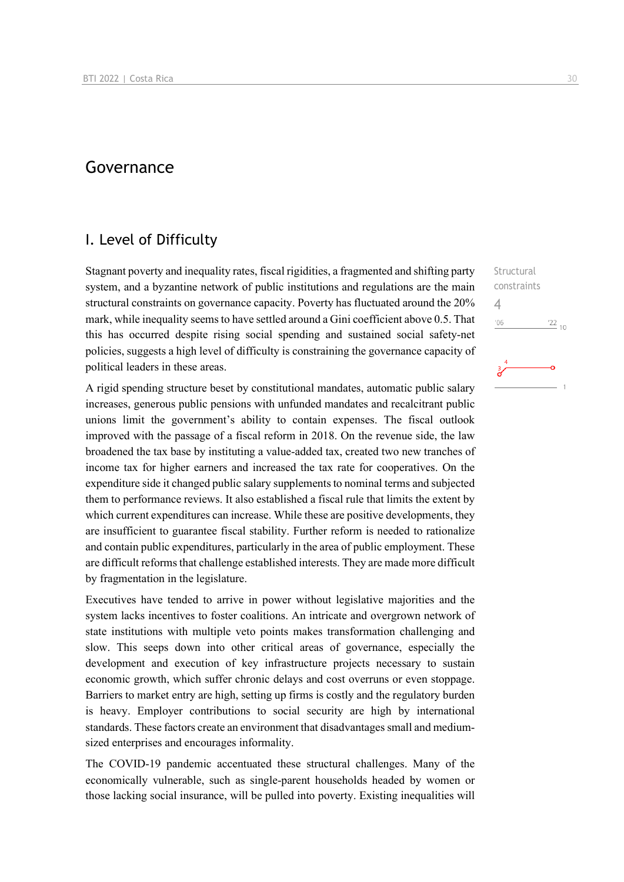# Governance

## I. Level of Difficulty

Stagnant poverty and inequality rates, fiscal rigidities, a fragmented and shifting party system, and a byzantine network of public institutions and regulations are the main structural constraints on governance capacity. Poverty has fluctuated around the 20% mark, while inequality seems to have settled around a Gini coefficient above 0.5. That this has occurred despite rising social spending and sustained social safety-net policies, suggests a high level of difficulty is constraining the governance capacity of political leaders in these areas.

A rigid spending structure beset by constitutional mandates, automatic public salary increases, generous public pensions with unfunded mandates and recalcitrant public unions limit the government's ability to contain expenses. The fiscal outlook improved with the passage of a fiscal reform in 2018. On the revenue side, the law broadened the tax base by instituting a value-added tax, created two new tranches of income tax for higher earners and increased the tax rate for cooperatives. On the expenditure side it changed public salary supplements to nominal terms and subjected them to performance reviews. It also established a fiscal rule that limits the extent by which current expenditures can increase. While these are positive developments, they are insufficient to guarantee fiscal stability. Further reform is needed to rationalize and contain public expenditures, particularly in the area of public employment. These are difficult reforms that challenge established interests. They are made more difficult by fragmentation in the legislature.

Executives have tended to arrive in power without legislative majorities and the system lacks incentives to foster coalitions. An intricate and overgrown network of state institutions with multiple veto points makes transformation challenging and slow. This seeps down into other critical areas of governance, especially the development and execution of key infrastructure projects necessary to sustain economic growth, which suffer chronic delays and cost overruns or even stoppage. Barriers to market entry are high, setting up firms is costly and the regulatory burden is heavy. Employer contributions to social security are high by international standards. These factors create an environment that disadvantages small and mediumsized enterprises and encourages informality.

The COVID-19 pandemic accentuated these structural challenges. Many of the economically vulnerable, such as single-parent households headed by women or those lacking social insurance, will be pulled into poverty. Existing inequalities will

**Structural** constraints

 $^{22}$  10

4 $106$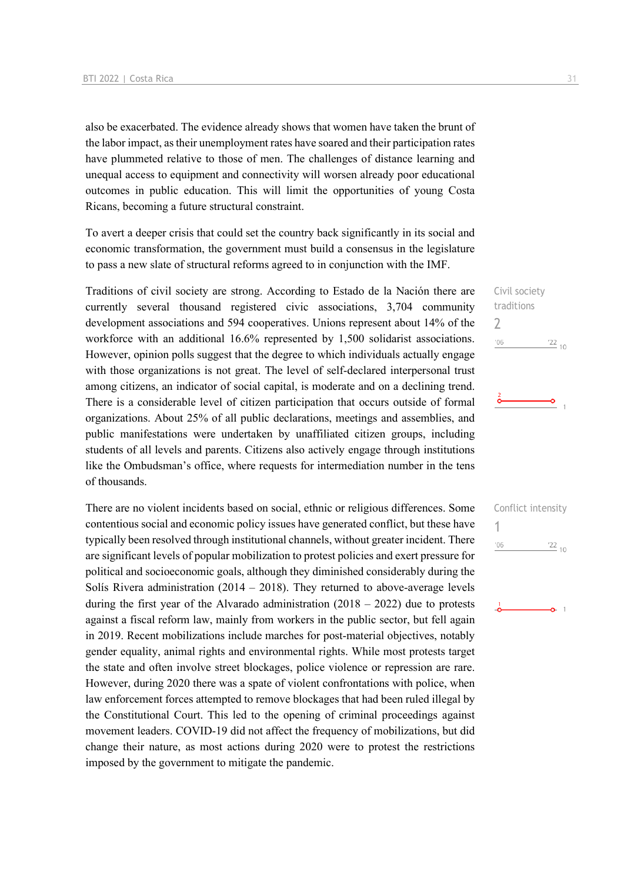also be exacerbated. The evidence already shows that women have taken the brunt of the labor impact, as their unemployment rates have soared and their participation rates have plummeted relative to those of men. The challenges of distance learning and unequal access to equipment and connectivity will worsen already poor educational outcomes in public education. This will limit the opportunities of young Costa Ricans, becoming a future structural constraint.

To avert a deeper crisis that could set the country back significantly in its social and economic transformation, the government must build a consensus in the legislature to pass a new slate of structural reforms agreed to in conjunction with the IMF.

Traditions of civil society are strong. According to Estado de la Nación there are currently several thousand registered civic associations, 3,704 community development associations and 594 cooperatives. Unions represent about 14% of the workforce with an additional 16.6% represented by 1,500 solidarist associations. However, opinion polls suggest that the degree to which individuals actually engage with those organizations is not great. The level of self-declared interpersonal trust among citizens, an indicator of social capital, is moderate and on a declining trend. There is a considerable level of citizen participation that occurs outside of formal organizations. About 25% of all public declarations, meetings and assemblies, and public manifestations were undertaken by unaffiliated citizen groups, including students of all levels and parents. Citizens also actively engage through institutions like the Ombudsman's office, where requests for intermediation number in the tens of thousands.

There are no violent incidents based on social, ethnic or religious differences. Some contentious social and economic policy issues have generated conflict, but these have typically been resolved through institutional channels, without greater incident. There are significant levels of popular mobilization to protest policies and exert pressure for political and socioeconomic goals, although they diminished considerably during the Solís Rivera administration  $(2014 - 2018)$ . They returned to above-average levels during the first year of the Alvarado administration  $(2018 - 2022)$  due to protests against a fiscal reform law, mainly from workers in the public sector, but fell again in 2019. Recent mobilizations include marches for post-material objectives, notably gender equality, animal rights and environmental rights. While most protests target the state and often involve street blockages, police violence or repression are rare. However, during 2020 there was a spate of violent confrontations with police, when law enforcement forces attempted to remove blockages that had been ruled illegal by the Constitutional Court. This led to the opening of criminal proceedings against movement leaders. COVID-19 did not affect the frequency of mobilizations, but did change their nature, as most actions during 2020 were to protest the restrictions imposed by the government to mitigate the pandemic.

Civil society traditions  $\overline{\phantom{0}}$  $06'$  $\frac{22}{10}$ 

۰Ó

|     | Conflict intensity |
|-----|--------------------|
|     |                    |
| '06 | $\frac{22}{10}$    |
|     |                    |
|     |                    |
|     |                    |
|     |                    |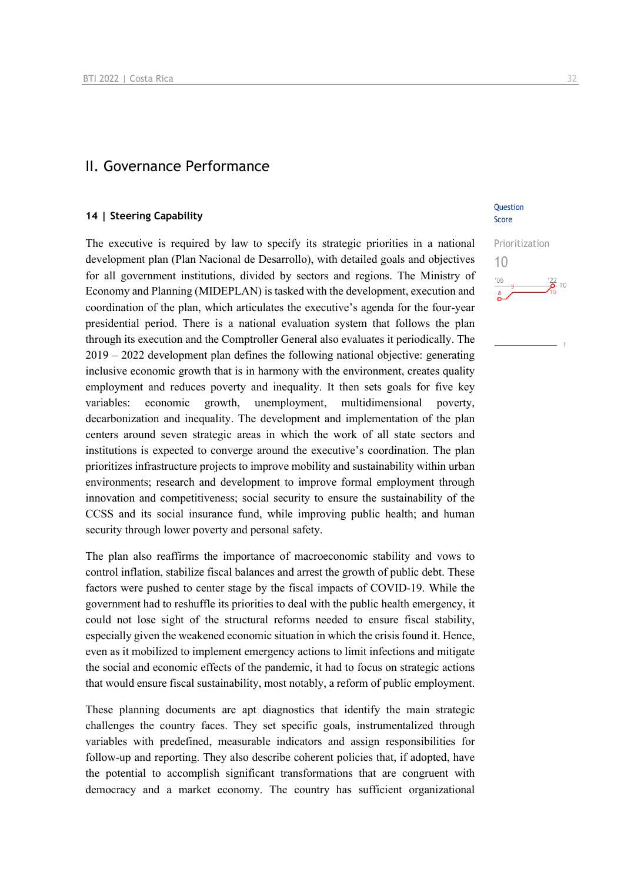## II. Governance Performance

## **14 | Steering Capability**

The executive is required by law to specify its strategic priorities in a national development plan (Plan Nacional de Desarrollo), with detailed goals and objectives for all government institutions, divided by sectors and regions. The Ministry of Economy and Planning (MIDEPLAN) is tasked with the development, execution and coordination of the plan, which articulates the executive's agenda for the four-year presidential period. There is a national evaluation system that follows the plan through its execution and the Comptroller General also evaluates it periodically. The 2019 – 2022 development plan defines the following national objective: generating inclusive economic growth that is in harmony with the environment, creates quality employment and reduces poverty and inequality. It then sets goals for five key variables: economic growth, unemployment, multidimensional poverty, decarbonization and inequality. The development and implementation of the plan centers around seven strategic areas in which the work of all state sectors and institutions is expected to converge around the executive's coordination. The plan prioritizes infrastructure projects to improve mobility and sustainability within urban environments; research and development to improve formal employment through innovation and competitiveness; social security to ensure the sustainability of the CCSS and its social insurance fund, while improving public health; and human security through lower poverty and personal safety.

The plan also reaffirms the importance of macroeconomic stability and vows to control inflation, stabilize fiscal balances and arrest the growth of public debt. These factors were pushed to center stage by the fiscal impacts of COVID-19. While the government had to reshuffle its priorities to deal with the public health emergency, it could not lose sight of the structural reforms needed to ensure fiscal stability, especially given the weakened economic situation in which the crisis found it. Hence, even as it mobilized to implement emergency actions to limit infections and mitigate the social and economic effects of the pandemic, it had to focus on strategic actions that would ensure fiscal sustainability, most notably, a reform of public employment.

These planning documents are apt diagnostics that identify the main strategic challenges the country faces. They set specific goals, instrumentalized through variables with predefined, measurable indicators and assign responsibilities for follow-up and reporting. They also describe coherent policies that, if adopted, have the potential to accomplish significant transformations that are congruent with democracy and a market economy. The country has sufficient organizational

**Ouestion** Score

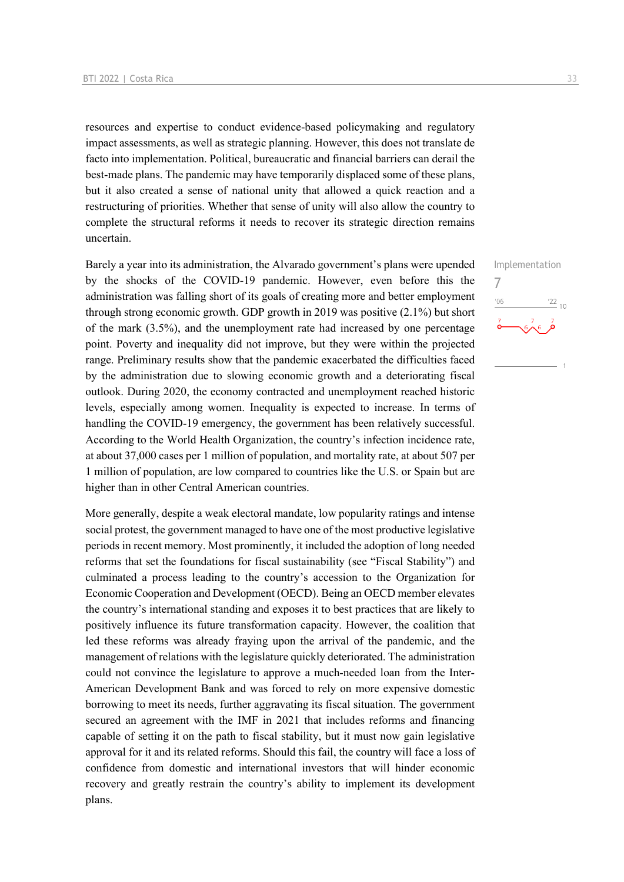resources and expertise to conduct evidence-based policymaking and regulatory impact assessments, as well as strategic planning. However, this does not translate de facto into implementation. Political, bureaucratic and financial barriers can derail the best-made plans. The pandemic may have temporarily displaced some of these plans, but it also created a sense of national unity that allowed a quick reaction and a restructuring of priorities. Whether that sense of unity will also allow the country to complete the structural reforms it needs to recover its strategic direction remains uncertain.

Barely a year into its administration, the Alvarado government's plans were upended by the shocks of the COVID-19 pandemic. However, even before this the administration was falling short of its goals of creating more and better employment through strong economic growth. GDP growth in 2019 was positive (2.1%) but short of the mark (3.5%), and the unemployment rate had increased by one percentage point. Poverty and inequality did not improve, but they were within the projected range. Preliminary results show that the pandemic exacerbated the difficulties faced by the administration due to slowing economic growth and a deteriorating fiscal outlook. During 2020, the economy contracted and unemployment reached historic levels, especially among women. Inequality is expected to increase. In terms of handling the COVID-19 emergency, the government has been relatively successful. According to the World Health Organization, the country's infection incidence rate, at about 37,000 cases per 1 million of population, and mortality rate, at about 507 per 1 million of population, are low compared to countries like the U.S. or Spain but are higher than in other Central American countries.

More generally, despite a weak electoral mandate, low popularity ratings and intense social protest, the government managed to have one of the most productive legislative periods in recent memory. Most prominently, it included the adoption of long needed reforms that set the foundations for fiscal sustainability (see "Fiscal Stability") and culminated a process leading to the country's accession to the Organization for Economic Cooperation and Development (OECD). Being an OECD member elevates the country's international standing and exposes it to best practices that are likely to positively influence its future transformation capacity. However, the coalition that led these reforms was already fraying upon the arrival of the pandemic, and the management of relations with the legislature quickly deteriorated. The administration could not convince the legislature to approve a much-needed loan from the Inter-American Development Bank and was forced to rely on more expensive domestic borrowing to meet its needs, further aggravating its fiscal situation. The government secured an agreement with the IMF in 2021 that includes reforms and financing capable of setting it on the path to fiscal stability, but it must now gain legislative approval for it and its related reforms. Should this fail, the country will face a loss of confidence from domestic and international investors that will hinder economic recovery and greatly restrain the country's ability to implement its development plans.

Implementation 7 $\frac{22}{10}$  $\sqrt{6\lambda^6}$ 

 $\overline{1}$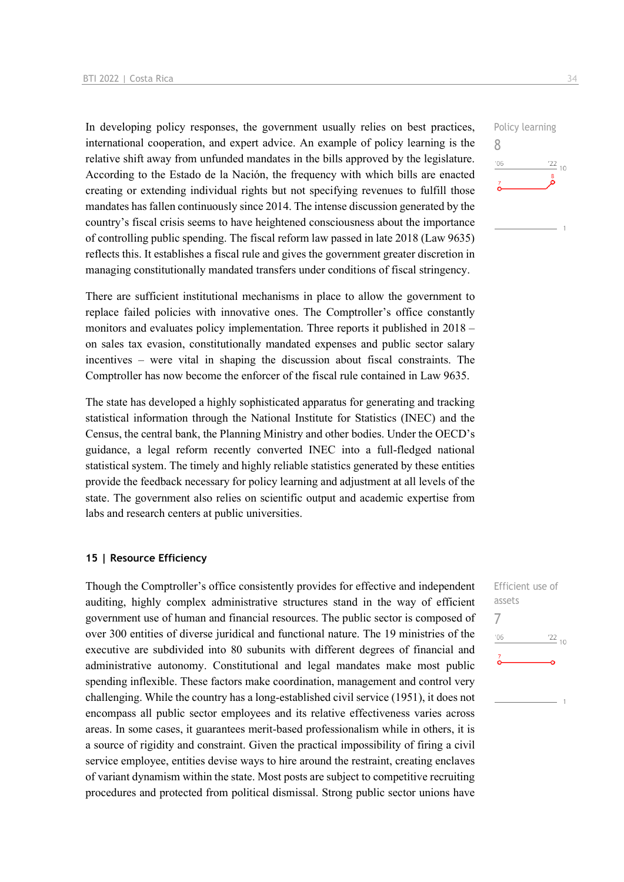In developing policy responses, the government usually relies on best practices, international cooperation, and expert advice. An example of policy learning is the relative shift away from unfunded mandates in the bills approved by the legislature. According to the Estado de la Nación, the frequency with which bills are enacted creating or extending individual rights but not specifying revenues to fulfill those mandates has fallen continuously since 2014. The intense discussion generated by the country's fiscal crisis seems to have heightened consciousness about the importance of controlling public spending. The fiscal reform law passed in late 2018 (Law 9635) reflects this. It establishes a fiscal rule and gives the government greater discretion in managing constitutionally mandated transfers under conditions of fiscal stringency.

There are sufficient institutional mechanisms in place to allow the government to replace failed policies with innovative ones. The Comptroller's office constantly monitors and evaluates policy implementation. Three reports it published in 2018 – on sales tax evasion, constitutionally mandated expenses and public sector salary incentives – were vital in shaping the discussion about fiscal constraints. The Comptroller has now become the enforcer of the fiscal rule contained in Law 9635.

The state has developed a highly sophisticated apparatus for generating and tracking statistical information through the National Institute for Statistics (INEC) and the Census, the central bank, the Planning Ministry and other bodies. Under the OECD's guidance, a legal reform recently converted INEC into a full-fledged national statistical system. The timely and highly reliable statistics generated by these entities provide the feedback necessary for policy learning and adjustment at all levels of the state. The government also relies on scientific output and academic expertise from labs and research centers at public universities.

## **15 | Resource Efficiency**

Though the Comptroller's office consistently provides for effective and independent auditing, highly complex administrative structures stand in the way of efficient government use of human and financial resources. The public sector is composed of over 300 entities of diverse juridical and functional nature. The 19 ministries of the executive are subdivided into 80 subunits with different degrees of financial and administrative autonomy. Constitutional and legal mandates make most public spending inflexible. These factors make coordination, management and control very challenging. While the country has a long-established civil service (1951), it does not encompass all public sector employees and its relative effectiveness varies across areas. In some cases, it guarantees merit-based professionalism while in others, it is a source of rigidity and constraint. Given the practical impossibility of firing a civil service employee, entities devise ways to hire around the restraint, creating enclaves of variant dynamism within the state. Most posts are subject to competitive recruiting procedures and protected from political dismissal. Strong public sector unions have



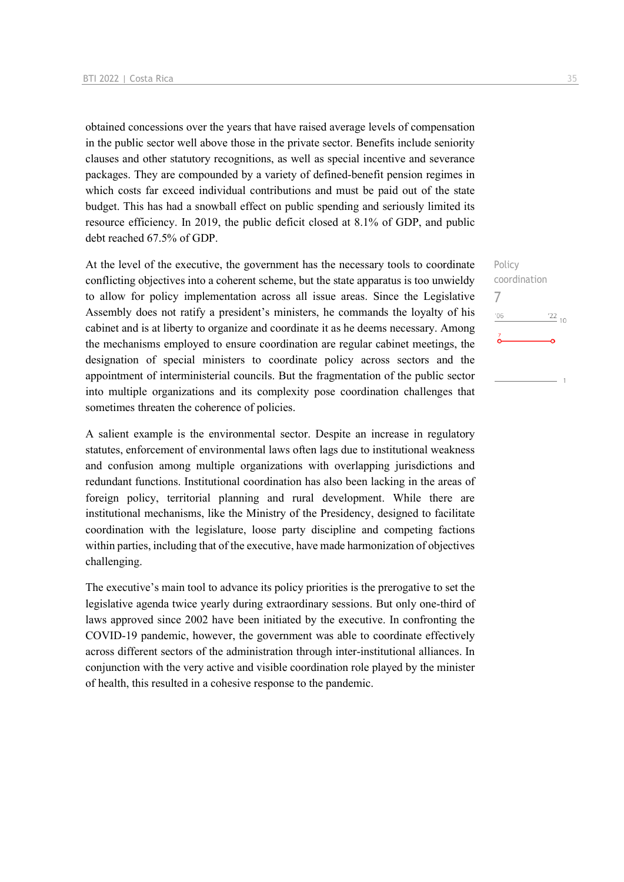obtained concessions over the years that have raised average levels of compensation in the public sector well above those in the private sector. Benefits include seniority clauses and other statutory recognitions, as well as special incentive and severance packages. They are compounded by a variety of defined-benefit pension regimes in which costs far exceed individual contributions and must be paid out of the state budget. This has had a snowball effect on public spending and seriously limited its resource efficiency. In 2019, the public deficit closed at 8.1% of GDP, and public debt reached 67.5% of GDP.

At the level of the executive, the government has the necessary tools to coordinate conflicting objectives into a coherent scheme, but the state apparatus is too unwieldy to allow for policy implementation across all issue areas. Since the Legislative Assembly does not ratify a president's ministers, he commands the loyalty of his cabinet and is at liberty to organize and coordinate it as he deems necessary. Among the mechanisms employed to ensure coordination are regular cabinet meetings, the designation of special ministers to coordinate policy across sectors and the appointment of interministerial councils. But the fragmentation of the public sector into multiple organizations and its complexity pose coordination challenges that sometimes threaten the coherence of policies.

A salient example is the environmental sector. Despite an increase in regulatory statutes, enforcement of environmental laws often lags due to institutional weakness and confusion among multiple organizations with overlapping jurisdictions and redundant functions. Institutional coordination has also been lacking in the areas of foreign policy, territorial planning and rural development. While there are institutional mechanisms, like the Ministry of the Presidency, designed to facilitate coordination with the legislature, loose party discipline and competing factions within parties, including that of the executive, have made harmonization of objectives challenging.

The executive's main tool to advance its policy priorities is the prerogative to set the legislative agenda twice yearly during extraordinary sessions. But only one-third of laws approved since 2002 have been initiated by the executive. In confronting the COVID-19 pandemic, however, the government was able to coordinate effectively across different sectors of the administration through inter-institutional alliances. In conjunction with the very active and visible coordination role played by the minister of health, this resulted in a cohesive response to the pandemic.

Policy coordination 7 $^{\prime}06$  $\frac{22}{10}$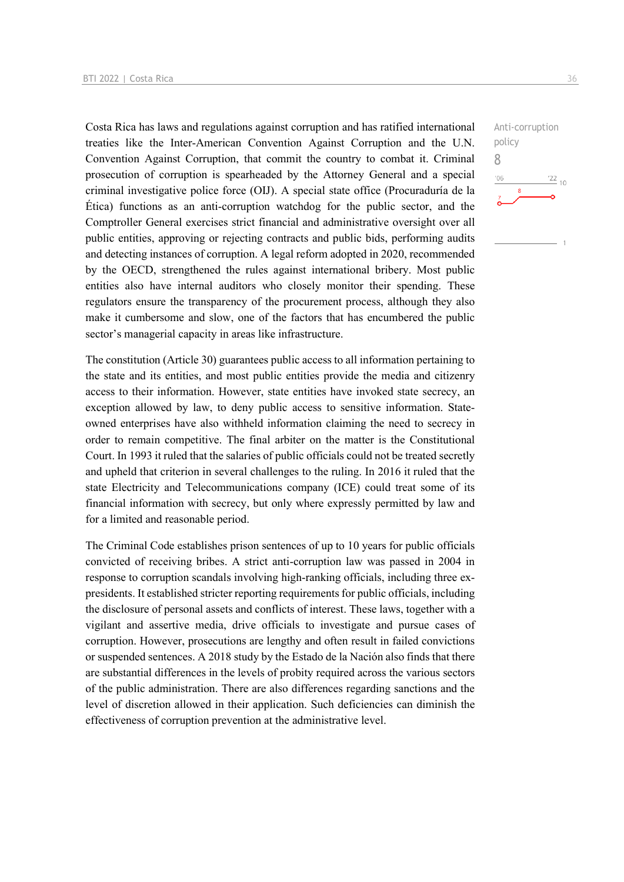Costa Rica has laws and regulations against corruption and has ratified international treaties like the Inter-American Convention Against Corruption and the U.N. Convention Against Corruption, that commit the country to combat it. Criminal prosecution of corruption is spearheaded by the Attorney General and a special criminal investigative police force (OIJ). A special state office (Procuraduría de la Ética) functions as an anti-corruption watchdog for the public sector, and the Comptroller General exercises strict financial and administrative oversight over all public entities, approving or rejecting contracts and public bids, performing audits and detecting instances of corruption. A legal reform adopted in 2020, recommended by the OECD, strengthened the rules against international bribery. Most public entities also have internal auditors who closely monitor their spending. These regulators ensure the transparency of the procurement process, although they also make it cumbersome and slow, one of the factors that has encumbered the public sector's managerial capacity in areas like infrastructure.

The constitution (Article 30) guarantees public access to all information pertaining to the state and its entities, and most public entities provide the media and citizenry access to their information. However, state entities have invoked state secrecy, an exception allowed by law, to deny public access to sensitive information. Stateowned enterprises have also withheld information claiming the need to secrecy in order to remain competitive. The final arbiter on the matter is the Constitutional Court. In 1993 it ruled that the salaries of public officials could not be treated secretly and upheld that criterion in several challenges to the ruling. In 2016 it ruled that the state Electricity and Telecommunications company (ICE) could treat some of its financial information with secrecy, but only where expressly permitted by law and for a limited and reasonable period.

The Criminal Code establishes prison sentences of up to 10 years for public officials convicted of receiving bribes. A strict anti-corruption law was passed in 2004 in response to corruption scandals involving high-ranking officials, including three expresidents. It established stricter reporting requirements for public officials, including the disclosure of personal assets and conflicts of interest. These laws, together with a vigilant and assertive media, drive officials to investigate and pursue cases of corruption. However, prosecutions are lengthy and often result in failed convictions or suspended sentences. A 2018 study by the Estado de la Nación also finds that there are substantial differences in the levels of probity required across the various sectors of the public administration. There are also differences regarding sanctions and the level of discretion allowed in their application. Such deficiencies can diminish the effectiveness of corruption prevention at the administrative level.

Anti-corruption policy 8 $-06$  $\frac{22}{10}$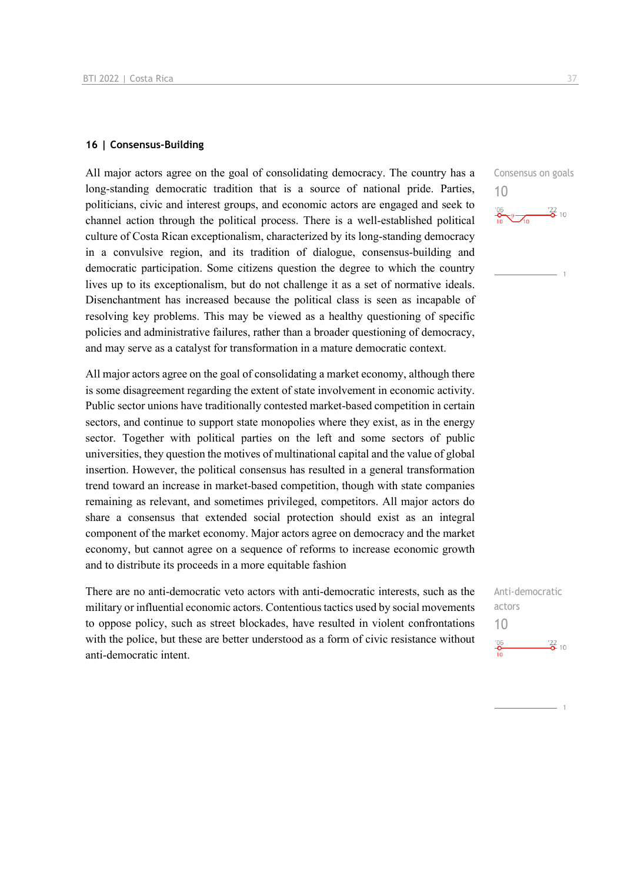## **16 | Consensus-Building**

All major actors agree on the goal of consolidating democracy. The country has a long-standing democratic tradition that is a source of national pride. Parties, politicians, civic and interest groups, and economic actors are engaged and seek to channel action through the political process. There is a well-established political culture of Costa Rican exceptionalism, characterized by its long-standing democracy in a convulsive region, and its tradition of dialogue, consensus-building and democratic participation. Some citizens question the degree to which the country lives up to its exceptionalism, but do not challenge it as a set of normative ideals. Disenchantment has increased because the political class is seen as incapable of resolving key problems. This may be viewed as a healthy questioning of specific policies and administrative failures, rather than a broader questioning of democracy, and may serve as a catalyst for transformation in a mature democratic context.

All major actors agree on the goal of consolidating a market economy, although there is some disagreement regarding the extent of state involvement in economic activity. Public sector unions have traditionally contested market-based competition in certain sectors, and continue to support state monopolies where they exist, as in the energy sector. Together with political parties on the left and some sectors of public universities, they question the motives of multinational capital and the value of global insertion. However, the political consensus has resulted in a general transformation trend toward an increase in market-based competition, though with state companies remaining as relevant, and sometimes privileged, competitors. All major actors do share a consensus that extended social protection should exist as an integral component of the market economy. Major actors agree on democracy and the market economy, but cannot agree on a sequence of reforms to increase economic growth and to distribute its proceeds in a more equitable fashion

There are no anti-democratic veto actors with anti-democratic interests, such as the military or influential economic actors. Contentious tactics used by social movements to oppose policy, such as street blockades, have resulted in violent confrontations with the police, but these are better understood as a form of civic resistance without anti-democratic intent.

Consensus on goals 10  $\frac{106}{10}$   $\frac{122}{0}$  10

Anti-democratic actors 10 $^{206}$  $\frac{22}{6}$  10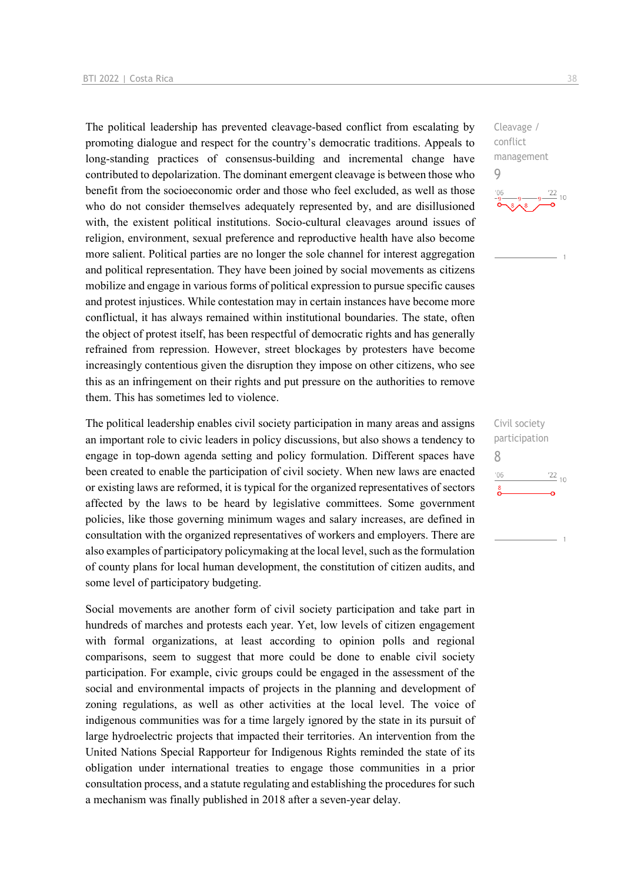The political leadership has prevented cleavage-based conflict from escalating by promoting dialogue and respect for the country's democratic traditions. Appeals to long-standing practices of consensus-building and incremental change have contributed to depolarization. The dominant emergent cleavage is between those who benefit from the socioeconomic order and those who feel excluded, as well as those who do not consider themselves adequately represented by, and are disillusioned with, the existent political institutions. Socio-cultural cleavages around issues of religion, environment, sexual preference and reproductive health have also become more salient. Political parties are no longer the sole channel for interest aggregation and political representation. They have been joined by social movements as citizens mobilize and engage in various forms of political expression to pursue specific causes and protest injustices. While contestation may in certain instances have become more conflictual, it has always remained within institutional boundaries. The state, often the object of protest itself, has been respectful of democratic rights and has generally refrained from repression. However, street blockages by protesters have become increasingly contentious given the disruption they impose on other citizens, who see this as an infringement on their rights and put pressure on the authorities to remove them. This has sometimes led to violence.

The political leadership enables civil society participation in many areas and assigns an important role to civic leaders in policy discussions, but also shows a tendency to engage in top-down agenda setting and policy formulation. Different spaces have been created to enable the participation of civil society. When new laws are enacted or existing laws are reformed, it is typical for the organized representatives of sectors affected by the laws to be heard by legislative committees. Some government policies, like those governing minimum wages and salary increases, are defined in consultation with the organized representatives of workers and employers. There are also examples of participatory policymaking at the local level, such as the formulation of county plans for local human development, the constitution of citizen audits, and some level of participatory budgeting.

Social movements are another form of civil society participation and take part in hundreds of marches and protests each year. Yet, low levels of citizen engagement with formal organizations, at least according to opinion polls and regional comparisons, seem to suggest that more could be done to enable civil society participation. For example, civic groups could be engaged in the assessment of the social and environmental impacts of projects in the planning and development of zoning regulations, as well as other activities at the local level. The voice of indigenous communities was for a time largely ignored by the state in its pursuit of large hydroelectric projects that impacted their territories. An intervention from the United Nations Special Rapporteur for Indigenous Rights reminded the state of its obligation under international treaties to engage those communities in a prior consultation process, and a statute regulating and establishing the procedures for such a mechanism was finally published in 2018 after a seven-year delay.

Cleavage / conflict management 9



Civil society participation 8 $06'$  $\frac{22}{10}$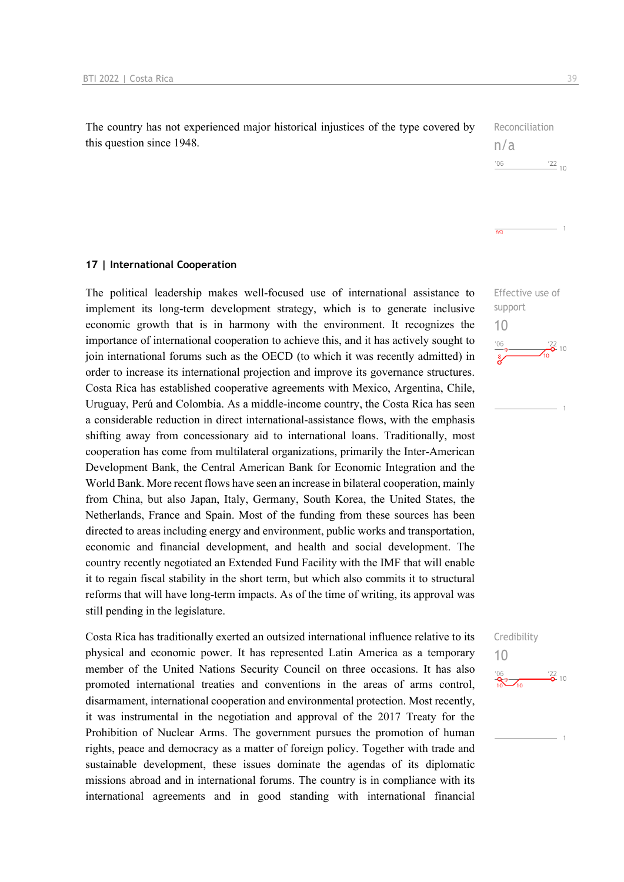The country has not experienced major historical injustices of the type covered by this question since 1948.

| Reconciliation |  |
|----------------|--|
| n/a            |  |
| '06            |  |

 $\overline{n/a}$ 

**17 | International Cooperation**

The political leadership makes well-focused use of international assistance to implement its long-term development strategy, which is to generate inclusive economic growth that is in harmony with the environment. It recognizes the importance of international cooperation to achieve this, and it has actively sought to join international forums such as the OECD (to which it was recently admitted) in order to increase its international projection and improve its governance structures. Costa Rica has established cooperative agreements with Mexico, Argentina, Chile, Uruguay, Perú and Colombia. As a middle-income country, the Costa Rica has seen a considerable reduction in direct international-assistance flows, with the emphasis shifting away from concessionary aid to international loans. Traditionally, most cooperation has come from multilateral organizations, primarily the Inter-American Development Bank, the Central American Bank for Economic Integration and the World Bank. More recent flows have seen an increase in bilateral cooperation, mainly from China, but also Japan, Italy, Germany, South Korea, the United States, the Netherlands, France and Spain. Most of the funding from these sources has been directed to areas including energy and environment, public works and transportation, economic and financial development, and health and social development. The country recently negotiated an Extended Fund Facility with the IMF that will enable it to regain fiscal stability in the short term, but which also commits it to structural reforms that will have long-term impacts. As of the time of writing, its approval was still pending in the legislature.

Costa Rica has traditionally exerted an outsized international influence relative to its physical and economic power. It has represented Latin America as a temporary member of the United Nations Security Council on three occasions. It has also promoted international treaties and conventions in the areas of arms control, disarmament, international cooperation and environmental protection. Most recently, it was instrumental in the negotiation and approval of the 2017 Treaty for the Prohibition of Nuclear Arms. The government pursues the promotion of human rights, peace and democracy as a matter of foreign policy. Together with trade and sustainable development, these issues dominate the agendas of its diplomatic missions abroad and in international forums. The country is in compliance with its international agreements and in good standing with international financial

Effective use of support 10  $\frac{122}{6}$  10



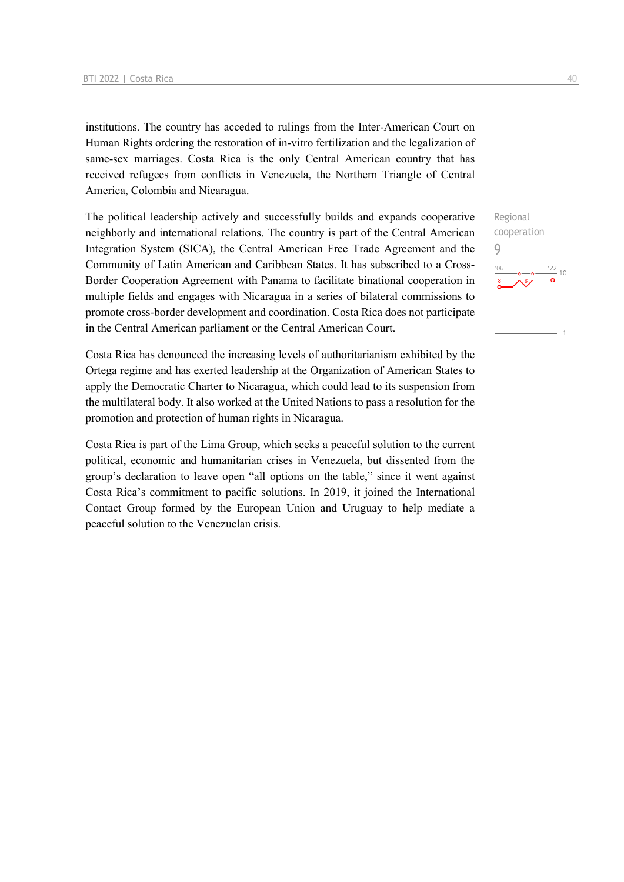institutions. The country has acceded to rulings from the Inter-American Court on Human Rights ordering the restoration of in-vitro fertilization and the legalization of same-sex marriages. Costa Rica is the only Central American country that has received refugees from conflicts in Venezuela, the Northern Triangle of Central America, Colombia and Nicaragua.

The political leadership actively and successfully builds and expands cooperative neighborly and international relations. The country is part of the Central American Integration System (SICA), the Central American Free Trade Agreement and the Community of Latin American and Caribbean States. It has subscribed to a Cross-Border Cooperation Agreement with Panama to facilitate binational cooperation in multiple fields and engages with Nicaragua in a series of bilateral commissions to promote cross-border development and coordination. Costa Rica does not participate in the Central American parliament or the Central American Court.

Costa Rica has denounced the increasing levels of authoritarianism exhibited by the Ortega regime and has exerted leadership at the Organization of American States to apply the Democratic Charter to Nicaragua, which could lead to its suspension from the multilateral body. It also worked at the United Nations to pass a resolution for the promotion and protection of human rights in Nicaragua.

Costa Rica is part of the Lima Group, which seeks a peaceful solution to the current political, economic and humanitarian crises in Venezuela, but dissented from the group's declaration to leave open "all options on the table," since it went against Costa Rica's commitment to pacific solutions. In 2019, it joined the International Contact Group formed by the European Union and Uruguay to help mediate a peaceful solution to the Venezuelan crisis.

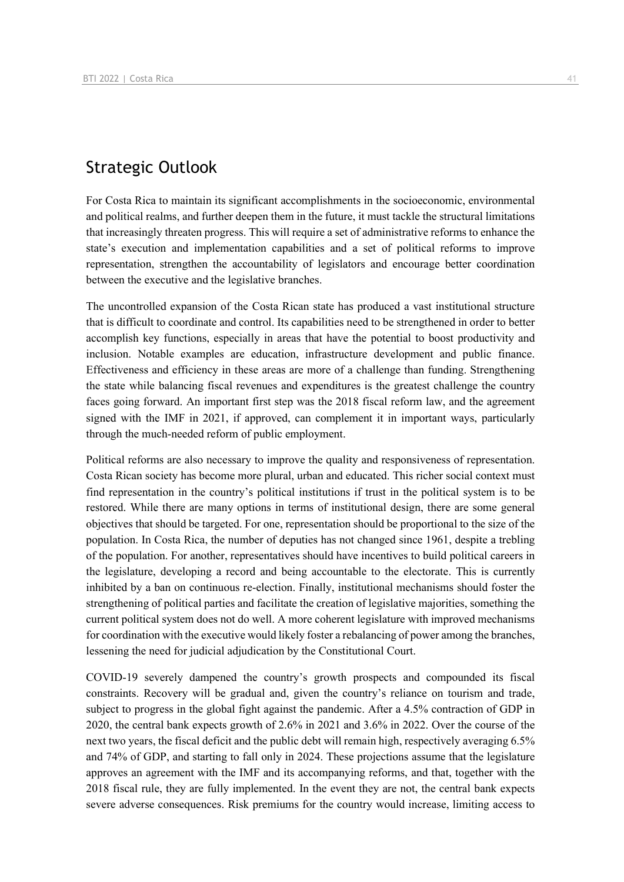# Strategic Outlook

For Costa Rica to maintain its significant accomplishments in the socioeconomic, environmental and political realms, and further deepen them in the future, it must tackle the structural limitations that increasingly threaten progress. This will require a set of administrative reforms to enhance the state's execution and implementation capabilities and a set of political reforms to improve representation, strengthen the accountability of legislators and encourage better coordination between the executive and the legislative branches.

The uncontrolled expansion of the Costa Rican state has produced a vast institutional structure that is difficult to coordinate and control. Its capabilities need to be strengthened in order to better accomplish key functions, especially in areas that have the potential to boost productivity and inclusion. Notable examples are education, infrastructure development and public finance. Effectiveness and efficiency in these areas are more of a challenge than funding. Strengthening the state while balancing fiscal revenues and expenditures is the greatest challenge the country faces going forward. An important first step was the 2018 fiscal reform law, and the agreement signed with the IMF in 2021, if approved, can complement it in important ways, particularly through the much-needed reform of public employment.

Political reforms are also necessary to improve the quality and responsiveness of representation. Costa Rican society has become more plural, urban and educated. This richer social context must find representation in the country's political institutions if trust in the political system is to be restored. While there are many options in terms of institutional design, there are some general objectives that should be targeted. For one, representation should be proportional to the size of the population. In Costa Rica, the number of deputies has not changed since 1961, despite a trebling of the population. For another, representatives should have incentives to build political careers in the legislature, developing a record and being accountable to the electorate. This is currently inhibited by a ban on continuous re-election. Finally, institutional mechanisms should foster the strengthening of political parties and facilitate the creation of legislative majorities, something the current political system does not do well. A more coherent legislature with improved mechanisms for coordination with the executive would likely foster a rebalancing of power among the branches, lessening the need for judicial adjudication by the Constitutional Court.

COVID-19 severely dampened the country's growth prospects and compounded its fiscal constraints. Recovery will be gradual and, given the country's reliance on tourism and trade, subject to progress in the global fight against the pandemic. After a 4.5% contraction of GDP in 2020, the central bank expects growth of 2.6% in 2021 and 3.6% in 2022. Over the course of the next two years, the fiscal deficit and the public debt will remain high, respectively averaging 6.5% and 74% of GDP, and starting to fall only in 2024. These projections assume that the legislature approves an agreement with the IMF and its accompanying reforms, and that, together with the 2018 fiscal rule, they are fully implemented. In the event they are not, the central bank expects severe adverse consequences. Risk premiums for the country would increase, limiting access to